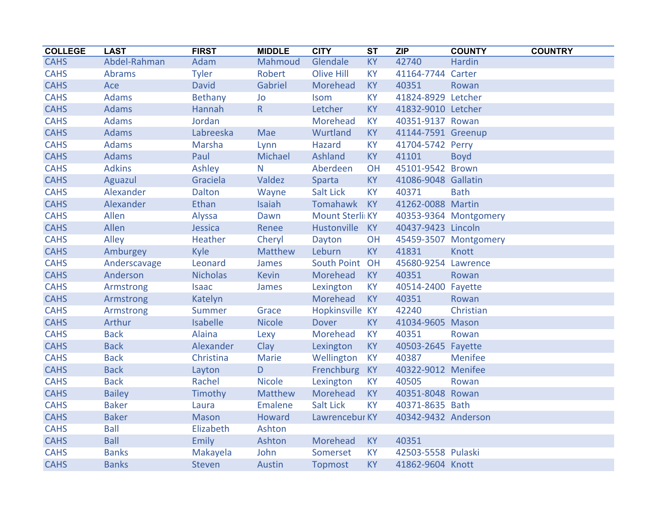| <b>COLLEGE</b> | <b>LAST</b>   | <b>FIRST</b>    | <b>MIDDLE</b>  | <b>CITY</b>            | $\overline{\text{ST}}$ | ZIP                 | <b>COUNTY</b>         | <b>COUNTRY</b> |
|----------------|---------------|-----------------|----------------|------------------------|------------------------|---------------------|-----------------------|----------------|
| <b>CAHS</b>    | Abdel-Rahman  | Adam            | Mahmoud        | Glendale               | <b>KY</b>              | 42740               | Hardin                |                |
| <b>CAHS</b>    | <b>Abrams</b> | <b>Tyler</b>    | Robert         | <b>Olive Hill</b>      | <b>KY</b>              | 41164-7744 Carter   |                       |                |
| <b>CAHS</b>    | Ace           | <b>David</b>    | Gabriel        | Morehead               | <b>KY</b>              | 40351               | Rowan                 |                |
| <b>CAHS</b>    | Adams         | <b>Bethany</b>  | Jo             | <b>Isom</b>            | <b>KY</b>              | 41824-8929 Letcher  |                       |                |
| <b>CAHS</b>    | <b>Adams</b>  | Hannah          | R              | Letcher                | <b>KY</b>              | 41832-9010 Letcher  |                       |                |
| <b>CAHS</b>    | <b>Adams</b>  | Jordan          |                | Morehead               | <b>KY</b>              | 40351-9137 Rowan    |                       |                |
| <b>CAHS</b>    | <b>Adams</b>  | Labreeska       | Mae            | Wurtland               | <b>KY</b>              | 41144-7591 Greenup  |                       |                |
| <b>CAHS</b>    | <b>Adams</b>  | Marsha          | Lynn           | Hazard                 | <b>KY</b>              | 41704-5742 Perry    |                       |                |
| <b>CAHS</b>    | <b>Adams</b>  | Paul            | Michael        | Ashland                | <b>KY</b>              | 41101               | <b>Boyd</b>           |                |
| <b>CAHS</b>    | <b>Adkins</b> | Ashley          | N              | Aberdeen               | OH                     | 45101-9542 Brown    |                       |                |
| <b>CAHS</b>    | Aguazul       | Graciela        | Valdez         | Sparta                 | <b>KY</b>              | 41086-9048 Gallatin |                       |                |
| <b>CAHS</b>    | Alexander     | <b>Dalton</b>   | Wayne          | <b>Salt Lick</b>       | <b>KY</b>              | 40371               | <b>Bath</b>           |                |
| <b>CAHS</b>    | Alexander     | Ethan           | Isaiah         | Tomahawk               | <b>KY</b>              | 41262-0088 Martin   |                       |                |
| <b>CAHS</b>    | Allen         | Alyssa          | Dawn           | <b>Mount Sterli KY</b> |                        |                     | 40353-9364 Montgomery |                |
| <b>CAHS</b>    | Allen         | Jessica         | Renee          | Hustonville            | <b>KY</b>              | 40437-9423 Lincoln  |                       |                |
| <b>CAHS</b>    | Alley         | Heather         | Cheryl         | Dayton                 | OH                     |                     | 45459-3507 Montgomery |                |
| <b>CAHS</b>    | Amburgey      | Kyle            | Matthew        | Leburn                 | <b>KY</b>              | 41831               | Knott                 |                |
| <b>CAHS</b>    | Anderscavage  | Leonard         | James          | South Point OH         |                        | 45680-9254 Lawrence |                       |                |
| <b>CAHS</b>    | Anderson      | <b>Nicholas</b> | <b>Kevin</b>   | Morehead               | <b>KY</b>              | 40351               | Rowan                 |                |
| <b>CAHS</b>    | Armstrong     | <b>Isaac</b>    | James          | Lexington              | <b>KY</b>              | 40514-2400 Fayette  |                       |                |
| <b>CAHS</b>    | Armstrong     | Katelyn         |                | Morehead               | <b>KY</b>              | 40351               | Rowan                 |                |
| <b>CAHS</b>    | Armstrong     | Summer          | Grace          | Hopkinsville KY        |                        | 42240               | Christian             |                |
| <b>CAHS</b>    | Arthur        | <b>Isabelle</b> | <b>Nicole</b>  | <b>Dover</b>           | KY                     | 41034-9605 Mason    |                       |                |
| <b>CAHS</b>    | <b>Back</b>   | Alaina          | Lexy           | Morehead               | <b>KY</b>              | 40351               | Rowan                 |                |
| <b>CAHS</b>    | <b>Back</b>   | Alexander       | Clay           | Lexington              | <b>KY</b>              | 40503-2645 Fayette  |                       |                |
| <b>CAHS</b>    | <b>Back</b>   | Christina       | Marie          | Wellington             | <b>KY</b>              | 40387               | <b>Menifee</b>        |                |
| <b>CAHS</b>    | <b>Back</b>   | Layton          | D              | Frenchburg             | <b>KY</b>              | 40322-9012 Menifee  |                       |                |
| <b>CAHS</b>    | <b>Back</b>   | Rachel          | <b>Nicole</b>  | Lexington              | <b>KY</b>              | 40505               | Rowan                 |                |
| <b>CAHS</b>    | <b>Bailey</b> | Timothy         | Matthew        | Morehead               | <b>KY</b>              | 40351-8048 Rowan    |                       |                |
| <b>CAHS</b>    | <b>Baker</b>  | Laura           | <b>Emalene</b> | <b>Salt Lick</b>       | <b>KY</b>              | 40371-8635 Bath     |                       |                |
| <b>CAHS</b>    | <b>Baker</b>  | <b>Mason</b>    | <b>Howard</b>  | Lawrencebur KY         |                        | 40342-9432 Anderson |                       |                |
| <b>CAHS</b>    | <b>Ball</b>   | Elizabeth       | Ashton         |                        |                        |                     |                       |                |
| <b>CAHS</b>    | <b>Ball</b>   | Emily           | Ashton         | Morehead               | <b>KY</b>              | 40351               |                       |                |
| <b>CAHS</b>    | <b>Banks</b>  | Makayela        | John           | Somerset               | <b>KY</b>              | 42503-5558 Pulaski  |                       |                |
| <b>CAHS</b>    | <b>Banks</b>  | Steven          | Austin         | <b>Topmost</b>         | <b>KY</b>              | 41862-9604 Knott    |                       |                |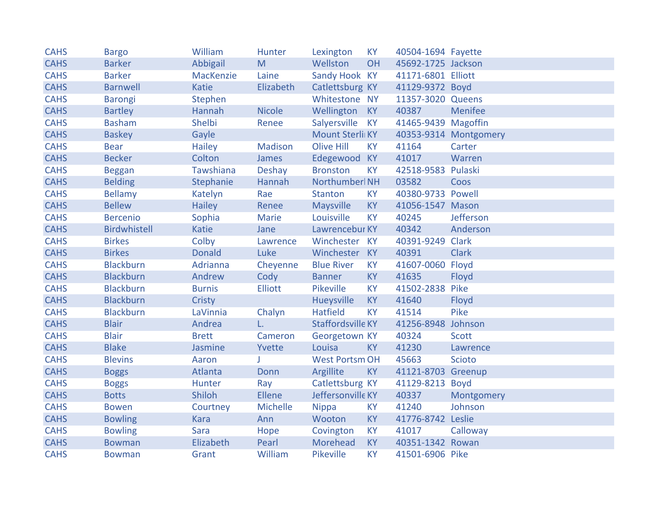| <b>CAHS</b> | <b>Bargo</b>        | William       | Hunter          | Lexington                | <b>KY</b>      | 40504-1694 Fayette  |                       |
|-------------|---------------------|---------------|-----------------|--------------------------|----------------|---------------------|-----------------------|
| <b>CAHS</b> | <b>Barker</b>       | Abbigail      | M               | Wellston                 | OH             | 45692-1725 Jackson  |                       |
| <b>CAHS</b> | <b>Barker</b>       | MacKenzie     | Laine           | Sandy Hook KY            |                | 41171-6801 Elliott  |                       |
| <b>CAHS</b> | <b>Barnwell</b>     | Katie         | Elizabeth       | Catlettsburg KY          |                | 41129-9372 Boyd     |                       |
| <b>CAHS</b> | <b>Barongi</b>      | Stephen       |                 | Whitestone NY            |                | 11357-3020 Queens   |                       |
| <b>CAHS</b> | <b>Bartley</b>      | Hannah        | <b>Nicole</b>   | Wellington KY            |                | 40387               | Menifee               |
| <b>CAHS</b> | <b>Basham</b>       | Shelbi        | Renee           | Salyersville KY          |                | 41465-9439 Magoffin |                       |
| <b>CAHS</b> | <b>Baskey</b>       | Gayle         |                 | <b>Mount Sterli KY</b>   |                |                     | 40353-9314 Montgomery |
| <b>CAHS</b> | <b>Bear</b>         | <b>Hailey</b> | Madison         | <b>Olive Hill</b>        | <b>KY</b>      | 41164               | Carter                |
| <b>CAHS</b> | <b>Becker</b>       | Colton        | James           | Edegewood KY             |                | 41017               | Warren                |
| <b>CAHS</b> | <b>Beggan</b>       | Tawshiana     | <b>Deshay</b>   | <b>Bronston</b>          | <b>KY</b>      | 42518-9583 Pulaski  |                       |
| <b>CAHS</b> | <b>Belding</b>      | Stephanie     | Hannah          | Northumberl NH           |                | 03582               | Coos                  |
| <b>CAHS</b> | <b>Bellamy</b>      | Katelyn       | Rae             | Stanton                  | <b>KY</b>      | 40380-9733 Powell   |                       |
| <b>CAHS</b> | <b>Bellew</b>       | <b>Hailey</b> | Renee           | Maysville                | <b>KY</b>      | 41056-1547 Mason    |                       |
| <b>CAHS</b> | <b>Bercenio</b>     | Sophia        | Marie           | Louisville               | <b>KY</b>      | 40245               | Jefferson             |
| <b>CAHS</b> | <b>Birdwhistell</b> | Katie         | Jane            | Lawrencebur KY           |                | 40342               | Anderson              |
| <b>CAHS</b> | <b>Birkes</b>       | Colby         | Lawrence        | Winchester KY            |                | 40391-9249 Clark    |                       |
| <b>CAHS</b> | <b>Birkes</b>       | <b>Donald</b> | Luke            | Winchester KY            |                | 40391               | <b>Clark</b>          |
| <b>CAHS</b> | <b>Blackburn</b>    | Adrianna      | Cheyenne        | <b>Blue River</b>        | <b>KY</b>      | 41607-0060 Floyd    |                       |
| <b>CAHS</b> | <b>Blackburn</b>    | Andrew        | Cody            | <b>Banner</b>            | <b>KY</b>      | 41635               | Floyd                 |
| <b>CAHS</b> | <b>Blackburn</b>    | <b>Burnis</b> | <b>Elliott</b>  | <b>Pikeville</b>         | <b>KY</b>      | 41502-2838 Pike     |                       |
| <b>CAHS</b> | <b>Blackburn</b>    | Cristy        |                 | Hueysville               | <b>KY</b>      | 41640               | Floyd                 |
| <b>CAHS</b> | <b>Blackburn</b>    | LaVinnia      | Chalyn          | <b>Hatfield</b>          | <b>KY</b>      | 41514               | Pike                  |
| <b>CAHS</b> | <b>Blair</b>        | Andrea        | L.              | <b>Staffordsville KY</b> |                | 41256-8948 Johnson  |                       |
| <b>CAHS</b> | <b>Blair</b>        | <b>Brett</b>  | Cameron         | Georgetown KY            |                | 40324               | <b>Scott</b>          |
| <b>CAHS</b> | <b>Blake</b>        | Jasmine       | Yvette          | Louisa                   | <b>KY</b>      | 41230               | Lawrence              |
| <b>CAHS</b> | <b>Blevins</b>      | Aaron         | J.              | <b>West Portsm OH</b>    |                | 45663               | Scioto                |
| <b>CAHS</b> | <b>Boggs</b>        | Atlanta       | Donn            | Argillite                | KY             | 41121-8703 Greenup  |                       |
| <b>CAHS</b> | <b>Boggs</b>        | Hunter        | Ray             | Catlettsburg KY          |                | 41129-8213 Boyd     |                       |
| <b>CAHS</b> | <b>Botts</b>        | Shiloh        | Ellene          | Jeffersonville KY        |                | 40337               | Montgomery            |
| <b>CAHS</b> | <b>Bowen</b>        | Courtney      | <b>Michelle</b> | <b>Nippa</b>             | KY <sub></sub> | 41240               | Johnson               |
| <b>CAHS</b> | <b>Bowling</b>      | <b>Kara</b>   | Ann             | Wooton                   | <b>KY</b>      | 41776-8742 Leslie   |                       |
| <b>CAHS</b> | <b>Bowling</b>      | Sara          | Hope            | Covington                | <b>KY</b>      | 41017               | Calloway              |
| <b>CAHS</b> | <b>Bowman</b>       | Elizabeth     | Pearl           | Morehead                 | <b>KY</b>      | 40351-1342 Rowan    |                       |
| <b>CAHS</b> | <b>Bowman</b>       | Grant         | William         | Pikeville                | <b>KY</b>      | 41501-6906 Pike     |                       |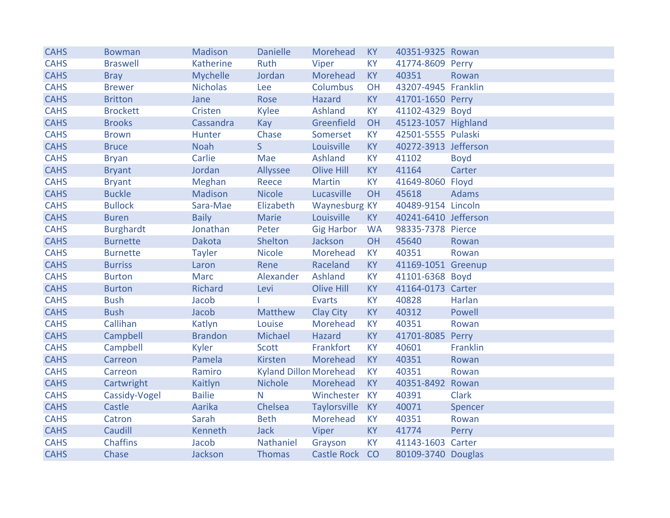| <b>CAHS</b> | <b>Bowman</b>    | <b>Madison</b>  | <b>Danielle</b>               | Morehead          | KY        | 40351-9325 Rowan     |              |
|-------------|------------------|-----------------|-------------------------------|-------------------|-----------|----------------------|--------------|
| <b>CAHS</b> | <b>Braswell</b>  | Katherine       | Ruth                          | Viper             | <b>KY</b> | 41774-8609 Perry     |              |
| <b>CAHS</b> | <b>Bray</b>      | <b>Mychelle</b> | Jordan                        | Morehead          | <b>KY</b> | 40351                | Rowan        |
| <b>CAHS</b> | <b>Brewer</b>    | <b>Nicholas</b> | Lee                           | Columbus          | OH        | 43207-4945 Franklin  |              |
| <b>CAHS</b> | <b>Britton</b>   | Jane            | Rose                          | Hazard            | <b>KY</b> | 41701-1650 Perry     |              |
| <b>CAHS</b> | <b>Brockett</b>  | Cristen         | Kylee                         | Ashland           | <b>KY</b> | 41102-4329 Boyd      |              |
| <b>CAHS</b> | <b>Brooks</b>    | Cassandra       | Kay                           | Greenfield        | OH        | 45123-1057 Highland  |              |
| <b>CAHS</b> | <b>Brown</b>     | Hunter          | Chase                         | Somerset          | <b>KY</b> | 42501-5555 Pulaski   |              |
| <b>CAHS</b> | <b>Bruce</b>     | <b>Noah</b>     | $\mathsf{S}$                  | Louisville        | <b>KY</b> | 40272-3913 Jefferson |              |
| <b>CAHS</b> | <b>Bryan</b>     | Carlie          | Mae                           | Ashland           | <b>KY</b> | 41102                | <b>Boyd</b>  |
| <b>CAHS</b> | <b>Bryant</b>    | Jordan          | Allyssee                      | <b>Olive Hill</b> | <b>KY</b> | 41164                | Carter       |
| <b>CAHS</b> | <b>Bryant</b>    | Meghan          | Reece                         | <b>Martin</b>     | <b>KY</b> | 41649-8060 Floyd     |              |
| <b>CAHS</b> | <b>Buckle</b>    | Madison         | <b>Nicole</b>                 | Lucasville        | OH        | 45618                | <b>Adams</b> |
| <b>CAHS</b> | <b>Bullock</b>   | Sara-Mae        | Elizabeth                     | Waynesburg KY     |           | 40489-9154 Lincoln   |              |
| <b>CAHS</b> | <b>Buren</b>     | <b>Baily</b>    | <b>Marie</b>                  | Louisville        | <b>KY</b> | 40241-6410 Jefferson |              |
| <b>CAHS</b> | <b>Burghardt</b> | Jonathan        | Peter                         | <b>Gig Harbor</b> | <b>WA</b> | 98335-7378 Pierce    |              |
| <b>CAHS</b> | <b>Burnette</b>  | Dakota          | Shelton                       | Jackson           | OH        | 45640                | Rowan        |
| <b>CAHS</b> | <b>Burnette</b>  | <b>Tayler</b>   | <b>Nicole</b>                 | Morehead          | <b>KY</b> | 40351                | Rowan        |
| <b>CAHS</b> | <b>Burriss</b>   | Laron           | Rene                          | Raceland          | <b>KY</b> | 41169-1051 Greenup   |              |
| <b>CAHS</b> | <b>Burton</b>    | <b>Marc</b>     | Alexander                     | Ashland           | <b>KY</b> | 41101-6368 Boyd      |              |
| <b>CAHS</b> | <b>Burton</b>    | <b>Richard</b>  | Levi                          | <b>Olive Hill</b> | <b>KY</b> | 41164-0173 Carter    |              |
| <b>CAHS</b> | <b>Bush</b>      | Jacob           |                               | <b>Evarts</b>     | <b>KY</b> | 40828                | Harlan       |
| <b>CAHS</b> | <b>Bush</b>      | Jacob           | <b>Matthew</b>                | Clay City         | <b>KY</b> | 40312                | Powell       |
| <b>CAHS</b> | Callihan         | Katlyn          | Louise                        | Morehead          | <b>KY</b> | 40351                | Rowan        |
| <b>CAHS</b> | Campbell         | <b>Brandon</b>  | Michael                       | Hazard            | <b>KY</b> | 41701-8085 Perry     |              |
| <b>CAHS</b> | Campbell         | Kyler           | Scott                         | Frankfort         | <b>KY</b> | 40601                | Franklin     |
| <b>CAHS</b> | Carreon          | Pamela          | <b>Kirsten</b>                | Morehead          | <b>KY</b> | 40351                | Rowan        |
| <b>CAHS</b> | Carreon          | Ramiro          | <b>Kyland Dillon Morehead</b> |                   | <b>KY</b> | 40351                | Rowan        |
| <b>CAHS</b> | Cartwright       | Kaitlyn         | <b>Nichole</b>                | Morehead          | <b>KY</b> | 40351-8492 Rowan     |              |
| <b>CAHS</b> | Cassidy-Vogel    | <b>Bailie</b>   | $\mathsf{N}$                  | Winchester KY     |           | 40391                | <b>Clark</b> |
| <b>CAHS</b> | Castle           | Aarika          | Chelsea                       | Taylorsville      | KY        | 40071                | Spencer      |
| <b>CAHS</b> | Catron           | Sarah           | <b>Beth</b>                   | Morehead          | <b>KY</b> | 40351                | Rowan        |
| <b>CAHS</b> | Caudill          | Kenneth         | <b>Jack</b>                   | Viper             | <b>KY</b> | 41774                | Perry        |
| <b>CAHS</b> | <b>Chaffins</b>  | Jacob           | Nathaniel                     | Grayson           | <b>KY</b> | 41143-1603 Carter    |              |
| <b>CAHS</b> | Chase            | Jackson         | <b>Thomas</b>                 | Castle Rock CO    |           | 80109-3740 Douglas   |              |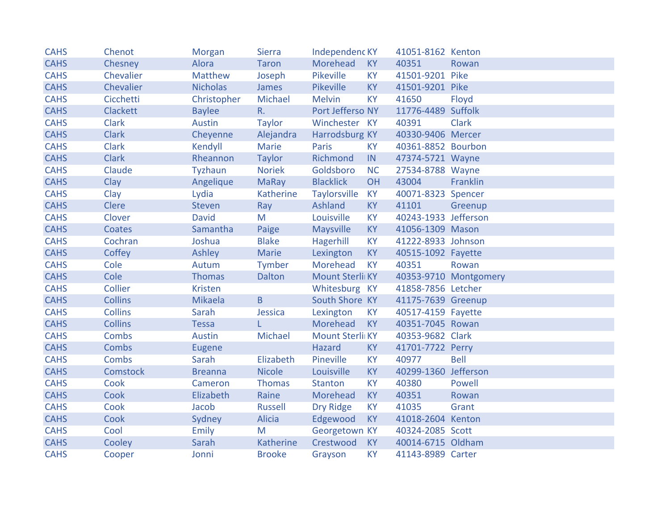| <b>CAHS</b> | Chenot          | <b>Morgan</b>   | <b>Sierra</b>  | Independenc KY   |           | 41051-8162 Kenton    |                       |
|-------------|-----------------|-----------------|----------------|------------------|-----------|----------------------|-----------------------|
| <b>CAHS</b> | Chesney         | Alora           | <b>Taron</b>   | Morehead         | KY        | 40351                | Rowan                 |
| <b>CAHS</b> | Chevalier       | Matthew         | Joseph         | Pikeville        | <b>KY</b> | 41501-9201 Pike      |                       |
| <b>CAHS</b> | Chevalier       | <b>Nicholas</b> | James          | <b>Pikeville</b> | <b>KY</b> | 41501-9201 Pike      |                       |
| <b>CAHS</b> | Cicchetti       | Christopher     | Michael        | <b>Melvin</b>    | <b>KY</b> | 41650                | Floyd                 |
| <b>CAHS</b> | <b>Clackett</b> | <b>Baylee</b>   | $R_{\cdot}$    | Port Jefferso NY |           | 11776-4489 Suffolk   |                       |
| <b>CAHS</b> | <b>Clark</b>    | Austin          | <b>Taylor</b>  | Winchester KY    |           | 40391                | <b>Clark</b>          |
| <b>CAHS</b> | <b>Clark</b>    | Cheyenne        | Alejandra      | Harrodsburg KY   |           | 40330-9406 Mercer    |                       |
| <b>CAHS</b> | <b>Clark</b>    | Kendyll         | <b>Marie</b>   | <b>Paris</b>     | <b>KY</b> | 40361-8852 Bourbon   |                       |
| <b>CAHS</b> | <b>Clark</b>    | Rheannon        | <b>Taylor</b>  | Richmond         | IN        | 47374-5721 Wayne     |                       |
| <b>CAHS</b> | Claude          | Tyzhaun         | <b>Noriek</b>  | Goldsboro        | <b>NC</b> | 27534-8788 Wayne     |                       |
| <b>CAHS</b> | Clay            | Angelique       | <b>MaRay</b>   | <b>Blacklick</b> | OH        | 43004                | Franklin              |
| <b>CAHS</b> | Clay            | Lydia           | Katherine      | Taylorsville     | <b>KY</b> | 40071-8323 Spencer   |                       |
| <b>CAHS</b> | Clere           | <b>Steven</b>   | Ray            | Ashland          | <b>KY</b> | 41101                | Greenup               |
| <b>CAHS</b> | Clover          | <b>David</b>    | M              | Louisville       | KY        | 40243-1933 Jefferson |                       |
| <b>CAHS</b> | Coates          | Samantha        | Paige          | Maysville        | <b>KY</b> | 41056-1309 Mason     |                       |
| <b>CAHS</b> | Cochran         | Joshua          | <b>Blake</b>   | Hagerhill        | <b>KY</b> | 41222-8933 Johnson   |                       |
| <b>CAHS</b> | Coffey          | Ashley          | Marie          | Lexington        | <b>KY</b> | 40515-1092 Fayette   |                       |
| <b>CAHS</b> | Cole            | Autum           | Tymber         | Morehead         | <b>KY</b> | 40351                | Rowan                 |
| <b>CAHS</b> | Cole            | <b>Thomas</b>   | <b>Dalton</b>  | Mount Sterli KY  |           |                      | 40353-9710 Montgomery |
| <b>CAHS</b> | Collier         | <b>Kristen</b>  |                | Whitesburg KY    |           | 41858-7856 Letcher   |                       |
| <b>CAHS</b> | <b>Collins</b>  | <b>Mikaela</b>  | $\sf{B}$       | South Shore KY   |           | 41175-7639 Greenup   |                       |
| <b>CAHS</b> | <b>Collins</b>  | Sarah           | Jessica        | Lexington        | <b>KY</b> | 40517-4159 Fayette   |                       |
| <b>CAHS</b> | <b>Collins</b>  | <b>Tessa</b>    | L              | Morehead         | KY        | 40351-7045 Rowan     |                       |
| <b>CAHS</b> | <b>Combs</b>    | Austin          | Michael        | Mount Sterli KY  |           | 40353-9682 Clark     |                       |
| <b>CAHS</b> | <b>Combs</b>    | Eugene          |                | Hazard           | <b>KY</b> | 41701-7722 Perry     |                       |
| <b>CAHS</b> | Combs           | Sarah           | Elizabeth      | Pineville        | <b>KY</b> | 40977                | Bell                  |
| <b>CAHS</b> | <b>Comstock</b> | <b>Breanna</b>  | <b>Nicole</b>  | Louisville       | KY        | 40299-1360 Jefferson |                       |
| <b>CAHS</b> | Cook            | Cameron         | Thomas         | Stanton          | <b>KY</b> | 40380                | Powell                |
| <b>CAHS</b> | Cook            | Elizabeth       | Raine          | Morehead         | <b>KY</b> | 40351                | Rowan                 |
| <b>CAHS</b> | Cook            | Jacob           | <b>Russell</b> | Dry Ridge        | KY        | 41035                | Grant                 |
| <b>CAHS</b> | Cook            | Sydney          | Alicia         | Edgewood         | KY        | 41018-2604 Kenton    |                       |
| <b>CAHS</b> | Cool            | Emily           | M              | Georgetown KY    |           | 40324-2085 Scott     |                       |
| <b>CAHS</b> | Cooley          | Sarah           | Katherine      | Crestwood        | KY        | 40014-6715 Oldham    |                       |
| <b>CAHS</b> | Cooper          | Jonni           | <b>Brooke</b>  | Grayson          | <b>KY</b> | 41143-8989 Carter    |                       |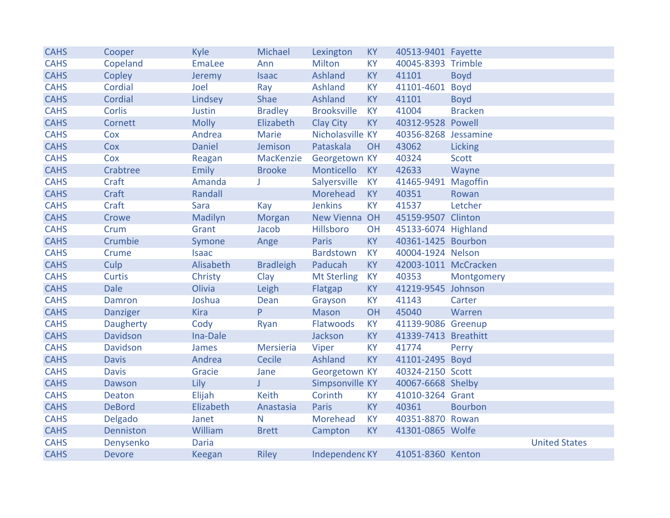| <b>CAHS</b> | Cooper           | Kyle          | Michael          | Lexington             | <b>KY</b> | 40513-9401 Fayette   |                |                      |
|-------------|------------------|---------------|------------------|-----------------------|-----------|----------------------|----------------|----------------------|
| <b>CAHS</b> | Copeland         | <b>EmaLee</b> | Ann              | <b>Milton</b>         | <b>KY</b> | 40045-8393 Trimble   |                |                      |
| <b>CAHS</b> | Copley           | Jeremy        | <b>Isaac</b>     | Ashland               | <b>KY</b> | 41101                | <b>Boyd</b>    |                      |
| <b>CAHS</b> | Cordial          | Joel          | Ray              | Ashland               | <b>KY</b> | 41101-4601 Boyd      |                |                      |
| <b>CAHS</b> | Cordial          | Lindsey       | Shae             | Ashland               | <b>KY</b> | 41101                | <b>Boyd</b>    |                      |
| <b>CAHS</b> | Corlis           | Justin        | <b>Bradley</b>   | <b>Brooksville</b>    | <b>KY</b> | 41004                | <b>Bracken</b> |                      |
| <b>CAHS</b> | Cornett          | <b>Molly</b>  | Elizabeth        | <b>Clay City</b>      | <b>KY</b> | 40312-9528 Powell    |                |                      |
| <b>CAHS</b> | Cox              | Andrea        | Marie            | Nicholasville KY      |           | 40356-8268 Jessamine |                |                      |
| <b>CAHS</b> | Cox              | <b>Daniel</b> | Jemison          | Pataskala             | OH        | 43062                | Licking        |                      |
| <b>CAHS</b> | Cox              | Reagan        | MacKenzie        | Georgetown KY         |           | 40324                | <b>Scott</b>   |                      |
| <b>CAHS</b> | Crabtree         | Emily         | <b>Brooke</b>    | Monticello            | <b>KY</b> | 42633                | Wayne          |                      |
| <b>CAHS</b> | Craft            | Amanda        | J                | Salyersville          | <b>KY</b> | 41465-9491 Magoffin  |                |                      |
| <b>CAHS</b> | Craft            | Randall       |                  | Morehead              | <b>KY</b> | 40351                | Rowan          |                      |
| <b>CAHS</b> | Craft            | Sara          | Kay              | <b>Jenkins</b>        | <b>KY</b> | 41537                | Letcher        |                      |
| <b>CAHS</b> | Crowe            | Madilyn       | Morgan           | New Vienna OH         |           | 45159-9507 Clinton   |                |                      |
| <b>CAHS</b> | Crum             | Grant         | Jacob            | Hillsboro             | OH        | 45133-6074 Highland  |                |                      |
| <b>CAHS</b> | Crumbie          | Symone        | Ange             | <b>Paris</b>          | <b>KY</b> | 40361-1425 Bourbon   |                |                      |
| <b>CAHS</b> | Crume            | <b>Isaac</b>  |                  | <b>Bardstown</b>      | <b>KY</b> | 40004-1924 Nelson    |                |                      |
| <b>CAHS</b> | Culp             | Alisabeth     | <b>Bradleigh</b> | Paducah               | <b>KY</b> | 42003-1011 McCracken |                |                      |
| <b>CAHS</b> | <b>Curtis</b>    | Christy       | Clay             | <b>Mt Sterling</b>    | <b>KY</b> | 40353                | Montgomery     |                      |
| <b>CAHS</b> | <b>Dale</b>      | Olivia        | Leigh            | Flatgap               | <b>KY</b> | 41219-9545 Johnson   |                |                      |
| <b>CAHS</b> | Damron           | Joshua        | Dean             | Grayson               | <b>KY</b> | 41143                | Carter         |                      |
| <b>CAHS</b> | <b>Danziger</b>  | <b>Kira</b>   | P                | Mason                 | OH        | 45040                | Warren         |                      |
| <b>CAHS</b> | <b>Daugherty</b> | Cody          | Ryan             | Flatwoods             | <b>KY</b> | 41139-9086 Greenup   |                |                      |
| <b>CAHS</b> | <b>Davidson</b>  | Ina-Dale      |                  | Jackson               | <b>KY</b> | 41339-7413 Breathitt |                |                      |
| <b>CAHS</b> | <b>Davidson</b>  | James         | Mersieria        | Viper                 | <b>KY</b> | 41774                | Perry          |                      |
| <b>CAHS</b> | <b>Davis</b>     | Andrea        | Cecile           | Ashland               | <b>KY</b> | 41101-2495 Boyd      |                |                      |
| <b>CAHS</b> | <b>Davis</b>     | Gracie        | Jane             | Georgetown KY         |           | 40324-2150 Scott     |                |                      |
| <b>CAHS</b> | Dawson           | Lily          | J                | Simpsonville KY       |           | 40067-6668 Shelby    |                |                      |
| <b>CAHS</b> | Deaton           | Elijah        | <b>Keith</b>     | Corinth               | <b>KY</b> | 41010-3264 Grant     |                |                      |
| <b>CAHS</b> | <b>DeBord</b>    | Elizabeth     | Anastasia        | Paris                 | <b>KY</b> | 40361                | <b>Bourbon</b> |                      |
| <b>CAHS</b> | Delgado          | Janet         | N                | Morehead              | <b>KY</b> | 40351-8870 Rowan     |                |                      |
| <b>CAHS</b> | Denniston        | William       | <b>Brett</b>     | Campton               | <b>KY</b> | 41301-0865 Wolfe     |                |                      |
| <b>CAHS</b> | Denysenko        | <b>Daria</b>  |                  |                       |           |                      |                | <b>United States</b> |
| <b>CAHS</b> | <b>Devore</b>    | Keegan        | <b>Riley</b>     | <b>Independenc KY</b> |           | 41051-8360 Kenton    |                |                      |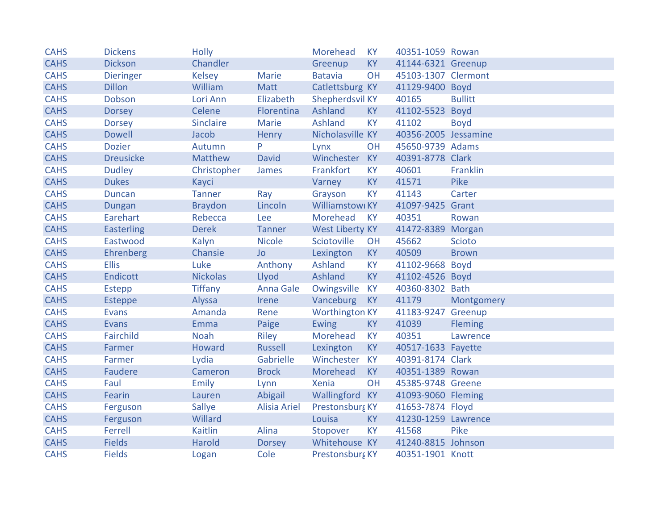| <b>CAHS</b> | <b>Dickens</b>    | <b>Holly</b>    |                     | Morehead               | <b>KY</b> | 40351-1059 Rowan     |                |
|-------------|-------------------|-----------------|---------------------|------------------------|-----------|----------------------|----------------|
| <b>CAHS</b> | <b>Dickson</b>    | Chandler        |                     | Greenup                | KY        | 41144-6321 Greenup   |                |
| <b>CAHS</b> | <b>Dieringer</b>  | <b>Kelsey</b>   | <b>Marie</b>        | <b>Batavia</b>         | OH        | 45103-1307 Clermont  |                |
| <b>CAHS</b> | <b>Dillon</b>     | William         | Matt                | Catlettsburg KY        |           | 41129-9400 Boyd      |                |
| <b>CAHS</b> | Dobson            | Lori Ann        | Elizabeth           | Shepherdsvil KY        |           | 40165                | <b>Bullitt</b> |
| <b>CAHS</b> | <b>Dorsey</b>     | Celene          | Florentina          | Ashland                | <b>KY</b> | 41102-5523 Boyd      |                |
| <b>CAHS</b> | <b>Dorsey</b>     | Sinclaire       | Marie               | <b>Ashland</b>         | <b>KY</b> | 41102                | <b>Boyd</b>    |
| <b>CAHS</b> | <b>Dowell</b>     | Jacob           | <b>Henry</b>        | Nicholasville KY       |           | 40356-2005 Jessamine |                |
| <b>CAHS</b> | <b>Dozier</b>     | Autumn          | P                   | Lynx                   | OH        | 45650-9739 Adams     |                |
| <b>CAHS</b> | <b>Dreusicke</b>  | <b>Matthew</b>  | <b>David</b>        | Winchester             | KY        | 40391-8778 Clark     |                |
| <b>CAHS</b> | <b>Dudley</b>     | Christopher     | James               | Frankfort              | <b>KY</b> | 40601                | Franklin       |
| <b>CAHS</b> | <b>Dukes</b>      | Kayci           |                     | Varney                 | <b>KY</b> | 41571                | Pike           |
| <b>CAHS</b> | <b>Duncan</b>     | <b>Tanner</b>   | Ray                 | Grayson                | KY.       | 41143                | Carter         |
| <b>CAHS</b> | Dungan            | <b>Braydon</b>  | Lincoln             | Williamstowi KY        |           | 41097-9425 Grant     |                |
| <b>CAHS</b> | Earehart          | Rebecca         | Lee                 | Morehead               | <b>KY</b> | 40351                | Rowan          |
| <b>CAHS</b> | <b>Easterling</b> | <b>Derek</b>    | <b>Tanner</b>       | <b>West Liberty KY</b> |           | 41472-8389 Morgan    |                |
| <b>CAHS</b> | Eastwood          | Kalyn           | <b>Nicole</b>       | Sciotoville            | OH        | 45662                | <b>Scioto</b>  |
| <b>CAHS</b> | Ehrenberg         | Chansie         | <b>Jo</b>           | Lexington              | <b>KY</b> | 40509                | <b>Brown</b>   |
| <b>CAHS</b> | <b>Ellis</b>      | Luke            | Anthony             | Ashland                | <b>KY</b> | 41102-9668 Boyd      |                |
| <b>CAHS</b> | Endicott          | <b>Nickolas</b> | Llyod               | Ashland                | KY        | 41102-4526 Boyd      |                |
| <b>CAHS</b> | Estepp            | <b>Tiffany</b>  | Anna Gale           | Owingsville            | KY        | 40360-8302 Bath      |                |
| <b>CAHS</b> | <b>Esteppe</b>    | Alyssa          | Irene               | Vanceburg              | <b>KY</b> | 41179                | Montgomery     |
| <b>CAHS</b> | <b>Evans</b>      | Amanda          | Rene                | <b>Worthington KY</b>  |           | 41183-9247 Greenup   |                |
| <b>CAHS</b> | <b>Evans</b>      | Emma            | Paige               | <b>Ewing</b>           | KY        | 41039                | <b>Fleming</b> |
| <b>CAHS</b> | Fairchild         | <b>Noah</b>     | Riley               | Morehead               | <b>KY</b> | 40351                | Lawrence       |
| <b>CAHS</b> | Farmer            | Howard          | <b>Russell</b>      | Lexington              | <b>KY</b> | 40517-1633 Fayette   |                |
| <b>CAHS</b> | Farmer            | Lydia           | Gabrielle           | Winchester KY          |           | 40391-8174 Clark     |                |
| <b>CAHS</b> | Faudere           | Cameron         | <b>Brock</b>        | Morehead               | KY        | 40351-1389 Rowan     |                |
| <b>CAHS</b> | Faul              | Emily           | Lynn                | Xenia                  | OH        | 45385-9748 Greene    |                |
| <b>CAHS</b> | Fearin            | Lauren          | Abigail             | Wallingford KY         |           | 41093-9060 Fleming   |                |
| <b>CAHS</b> | Ferguson          | Sallye          | <b>Alisia Ariel</b> | Prestonsburg KY        |           | 41653-7874 Floyd     |                |
| <b>CAHS</b> | Ferguson          | Willard         |                     | Louisa                 | <b>KY</b> | 41230-1259 Lawrence  |                |
| <b>CAHS</b> | Ferrell           | <b>Kaitlin</b>  | Alina               | Stopover               | <b>KY</b> | 41568                | Pike           |
| <b>CAHS</b> | <b>Fields</b>     | Harold          | <b>Dorsey</b>       | Whitehouse KY          |           | 41240-8815 Johnson   |                |
| <b>CAHS</b> | <b>Fields</b>     | Logan           | Cole                | Prestonsburg KY        |           | 40351-1901 Knott     |                |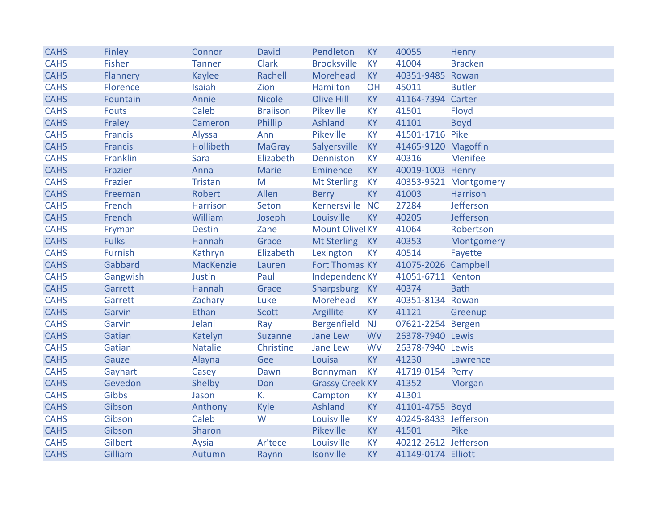| <b>CAHS</b> | Finley         | Connor           | <b>David</b>    | Pendleton              | <b>KY</b> | 40055                | Henry                 |
|-------------|----------------|------------------|-----------------|------------------------|-----------|----------------------|-----------------------|
| <b>CAHS</b> | <b>Fisher</b>  | <b>Tanner</b>    | <b>Clark</b>    | <b>Brooksville</b>     | <b>KY</b> | 41004                | <b>Bracken</b>        |
| <b>CAHS</b> | Flannery       | <b>Kaylee</b>    | Rachell         | Morehead               | <b>KY</b> | 40351-9485 Rowan     |                       |
| <b>CAHS</b> | Florence       | Isaiah           | Zion            | Hamilton               | OH        | 45011                | <b>Butler</b>         |
| <b>CAHS</b> | Fountain       | Annie            | <b>Nicole</b>   | <b>Olive Hill</b>      | <b>KY</b> | 41164-7394 Carter    |                       |
| <b>CAHS</b> | <b>Fouts</b>   | Caleb            | <b>Braiison</b> | Pikeville              | <b>KY</b> | 41501                | Floyd                 |
| <b>CAHS</b> | Fraley         | Cameron          | Phillip         | <b>Ashland</b>         | <b>KY</b> | 41101                | <b>Boyd</b>           |
| <b>CAHS</b> | <b>Francis</b> | Alyssa           | Ann             | Pikeville              | <b>KY</b> | 41501-1716 Pike      |                       |
| <b>CAHS</b> | <b>Francis</b> | Hollibeth        | <b>MaGray</b>   | Salyersville           | <b>KY</b> | 41465-9120 Magoffin  |                       |
| <b>CAHS</b> | Franklin       | <b>Sara</b>      | Elizabeth       | Denniston              | <b>KY</b> | 40316                | Menifee               |
| <b>CAHS</b> | Frazier        | Anna             | <b>Marie</b>    | Eminence               | <b>KY</b> | 40019-1003 Henry     |                       |
| <b>CAHS</b> | Frazier        | <b>Tristan</b>   | M               | <b>Mt Sterling</b>     | <b>KY</b> |                      | 40353-9521 Montgomery |
| <b>CAHS</b> | Freeman        | Robert           | Allen           | <b>Berry</b>           | <b>KY</b> | 41003                | Harrison              |
| <b>CAHS</b> | French         | <b>Harrison</b>  | Seton           | Kernersville NC        |           | 27284                | Jefferson             |
| <b>CAHS</b> | French         | William          | Joseph          | Louisville             | <b>KY</b> | 40205                | Jefferson             |
| <b>CAHS</b> | Fryman         | <b>Destin</b>    | Zane            | Mount Olivel KY        |           | 41064                | Robertson             |
| <b>CAHS</b> | <b>Fulks</b>   | Hannah           | Grace           | Mt Sterling            | <b>KY</b> | 40353                | Montgomery            |
| <b>CAHS</b> | <b>Furnish</b> | Kathryn          | Elizabeth       | Lexington              | <b>KY</b> | 40514                | Fayette               |
| <b>CAHS</b> | Gabbard        | <b>MacKenzie</b> | Lauren          | Fort Thomas KY         |           | 41075-2026 Campbell  |                       |
| <b>CAHS</b> | Gangwish       | Justin           | Paul            | Independenc KY         |           | 41051-6711 Kenton    |                       |
| <b>CAHS</b> | Garrett        | Hannah           | Grace           | Sharpsburg             | <b>KY</b> | 40374                | <b>Bath</b>           |
| <b>CAHS</b> | Garrett        | Zachary          | Luke            | Morehead               | <b>KY</b> | 40351-8134 Rowan     |                       |
| <b>CAHS</b> | Garvin         | <b>Ethan</b>     | <b>Scott</b>    | Argillite              | <b>KY</b> | 41121                | Greenup               |
| <b>CAHS</b> | Garvin         | Jelani           | Ray             | Bergenfield            | <b>NJ</b> | 07621-2254 Bergen    |                       |
| <b>CAHS</b> | Gatian         | Katelyn          | <b>Suzanne</b>  | Jane Lew               | <b>WV</b> | 26378-7940 Lewis     |                       |
| <b>CAHS</b> | Gatian         | <b>Natalie</b>   | Christine       | Jane Lew               | <b>WV</b> | 26378-7940 Lewis     |                       |
| <b>CAHS</b> | Gauze          | Alayna           | Gee             | Louisa                 | <b>KY</b> | 41230                | Lawrence              |
| <b>CAHS</b> | Gayhart        | Casey            | Dawn            | <b>Bonnyman</b>        | <b>KY</b> | 41719-0154 Perry     |                       |
| <b>CAHS</b> | Gevedon        | Shelby           | Don             | <b>Grassy Creek KY</b> |           | 41352                | Morgan                |
| <b>CAHS</b> | Gibbs          | Jason            | К.              | Campton                | <b>KY</b> | 41301                |                       |
| <b>CAHS</b> | Gibson         | Anthony          | Kyle            | Ashland                | <b>KY</b> | 41101-4755 Boyd      |                       |
| <b>CAHS</b> | Gibson         | Caleb            | W               | Louisville             | <b>KY</b> | 40245-8433 Jefferson |                       |
| <b>CAHS</b> | Gibson         | Sharon           |                 | Pikeville              | <b>KY</b> | 41501                | Pike                  |
| <b>CAHS</b> | Gilbert        | Aysia            | Ar'tece         | Louisville             | <b>KY</b> | 40212-2612 Jefferson |                       |
| <b>CAHS</b> | Gilliam        | Autumn           | Raynn           | Isonville              | <b>KY</b> | 41149-0174 Elliott   |                       |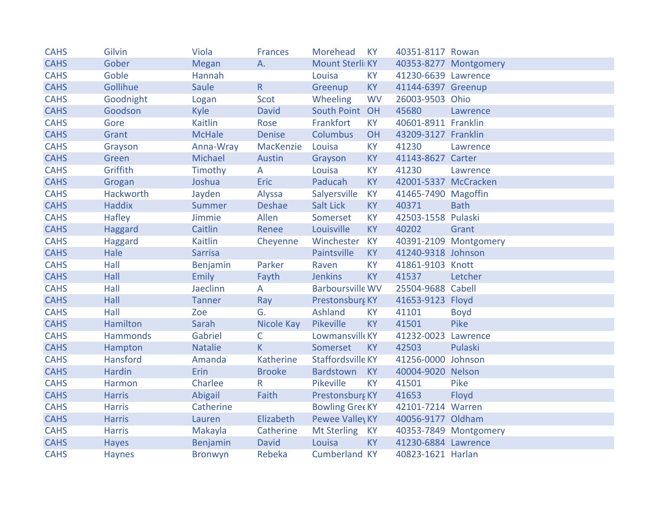| <b>CAHS</b> | Gilvin           | Viola          | <b>Frances</b> | Morehead                | <b>KY</b> | 40351-8117 Rowan     |                       |
|-------------|------------------|----------------|----------------|-------------------------|-----------|----------------------|-----------------------|
| <b>CAHS</b> | Gober            | <b>Megan</b>   | A.             | Mount Sterli KY         |           |                      | 40353-8277 Montgomery |
| <b>CAHS</b> | Goble            | Hannah         |                | Louisa                  | <b>KY</b> | 41230-6639 Lawrence  |                       |
| <b>CAHS</b> | Gollihue         | Saule          | R.             | Greenup                 | <b>KY</b> | 41144-6397 Greenup   |                       |
| <b>CAHS</b> | Goodnight        | Logan          | Scot           | Wheeling                | <b>WV</b> | 26003-9503 Ohio      |                       |
| <b>CAHS</b> | Goodson          | Kyle           | <b>David</b>   | South Point OH          |           | 45680                | Lawrence              |
| <b>CAHS</b> | Gore             | <b>Kaitlin</b> | Rose           | Frankfort               | <b>KY</b> | 40601-8911 Franklin  |                       |
| <b>CAHS</b> | Grant            | <b>McHale</b>  | <b>Denise</b>  | Columbus                | OH        | 43209-3127 Franklin  |                       |
| <b>CAHS</b> | Grayson          | Anna-Wray      | MacKenzie      | Louisa                  | <b>KY</b> | 41230                | Lawrence              |
| <b>CAHS</b> | Green            | Michael        | Austin         | Grayson                 | <b>KY</b> | 41143-8627 Carter    |                       |
| <b>CAHS</b> | Griffith         | Timothy        | A              | Louisa                  | <b>KY</b> | 41230                | Lawrence              |
| <b>CAHS</b> | Grogan           | Joshua         | <b>Eric</b>    | Paducah                 | <b>KY</b> | 42001-5337 McCracken |                       |
| <b>CAHS</b> | <b>Hackworth</b> | Jayden         | Alyssa         | Salyersville            | <b>KY</b> | 41465-7490 Magoffin  |                       |
| <b>CAHS</b> | <b>Haddix</b>    | Summer         | <b>Deshae</b>  | Salt Lick               | <b>KY</b> | 40371                | <b>Bath</b>           |
| <b>CAHS</b> | Hafley           | Jimmie         | Allen          | Somerset                | <b>KY</b> | 42503-1558 Pulaski   |                       |
| <b>CAHS</b> | Haggard          | Caitlin        | Renee          | Louisville              | <b>KY</b> | 40202                | Grant                 |
| <b>CAHS</b> | Haggard          | <b>Kaitlin</b> | Cheyenne       | Winchester              | <b>KY</b> |                      | 40391-2109 Montgomery |
| <b>CAHS</b> | Hale             | <b>Sarrisa</b> |                | Paintsville             | <b>KY</b> | 41240-9318 Johnson   |                       |
| <b>CAHS</b> | Hall             | Benjamin       | Parker         | Raven                   | <b>KY</b> | 41861-9103 Knott     |                       |
| <b>CAHS</b> | Hall             | <b>Emily</b>   | Fayth          | <b>Jenkins</b>          | <b>KY</b> | 41537                | Letcher               |
| <b>CAHS</b> | Hall             | Jaeclinn       | $\mathsf{A}$   | <b>Barboursville WV</b> |           | 25504-9688 Cabell    |                       |
| <b>CAHS</b> | Hall             | <b>Tanner</b>  | Ray            | Prestonsburg KY         |           | 41653-9123 Floyd     |                       |
| <b>CAHS</b> | Hall             | Zoe            | G.             | Ashland                 | <b>KY</b> | 41101                | <b>Boyd</b>           |
| <b>CAHS</b> | Hamilton         | Sarah          | Nicole Kay     | Pikeville               | <b>KY</b> | 41501                | Pike                  |
| <b>CAHS</b> | <b>Hammonds</b>  | Gabriel        | C              | Lowmansvill(KY          |           | 41232-0023 Lawrence  |                       |
| <b>CAHS</b> | Hampton          | <b>Natalie</b> | K.             | Somerset                | <b>KY</b> | 42503                | Pulaski               |
| <b>CAHS</b> | Hansford         | Amanda         | Katherine      | Staffordsville KY       |           | 41256-0000 Johnson   |                       |
| <b>CAHS</b> | <b>Hardin</b>    | Erin           | <b>Brooke</b>  | Bardstown               | KY        | 40004-9020 Nelson    |                       |
| <b>CAHS</b> | Harmon           | Charlee        | R              | Pikeville               | <b>KY</b> | 41501                | Pike                  |
| <b>CAHS</b> | <b>Harris</b>    | Abigail        | Faith          | Prestonsburg KY         |           | 41653                | Floyd                 |
| <b>CAHS</b> | <b>Harris</b>    | Catherine      |                | <b>Bowling Gree KY</b>  |           | 42101-7214 Warren    |                       |
| <b>CAHS</b> | <b>Harris</b>    | Lauren         | Elizabeth      | Pewee Valley KY         |           | 40056-9177 Oldham    |                       |
| <b>CAHS</b> | <b>Harris</b>    | Makayla        | Catherine      | <b>Mt Sterling</b>      | <b>KY</b> |                      | 40353-7849 Montgomery |
| <b>CAHS</b> | <b>Hayes</b>     | Benjamin       | <b>David</b>   | Louisa                  | KY        | 41230-6884 Lawrence  |                       |
| <b>CAHS</b> | <b>Haynes</b>    | <b>Bronwyn</b> | Rebeka         | <b>Cumberland KY</b>    |           | 40823-1621 Harlan    |                       |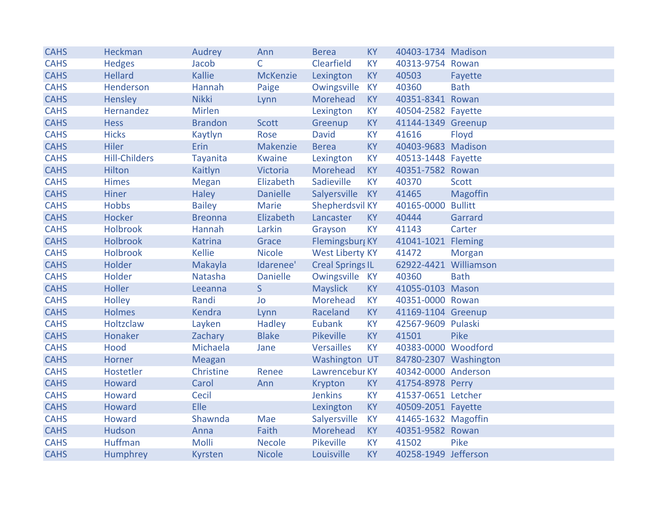| <b>CAHS</b> | <b>Heckman</b>       | Audrey          | Ann             | <b>Berea</b>            | <b>KY</b> | 40403-1734 Madison    |                 |
|-------------|----------------------|-----------------|-----------------|-------------------------|-----------|-----------------------|-----------------|
| <b>CAHS</b> | <b>Hedges</b>        | Jacob           | C               | Clearfield              | <b>KY</b> | 40313-9754 Rowan      |                 |
| <b>CAHS</b> | <b>Hellard</b>       | <b>Kallie</b>   | <b>McKenzie</b> | Lexington               | <b>KY</b> | 40503                 | Fayette         |
| <b>CAHS</b> | <b>Henderson</b>     | Hannah          | Paige           | Owingsville             | <b>KY</b> | 40360                 | <b>Bath</b>     |
| <b>CAHS</b> | Hensley              | <b>Nikki</b>    | Lynn            | Morehead                | <b>KY</b> | 40351-8341 Rowan      |                 |
| <b>CAHS</b> | Hernandez            | <b>Mirlen</b>   |                 | Lexington               | <b>KY</b> | 40504-2582 Fayette    |                 |
| <b>CAHS</b> | <b>Hess</b>          | <b>Brandon</b>  | <b>Scott</b>    | Greenup                 | <b>KY</b> | 41144-1349 Greenup    |                 |
| <b>CAHS</b> | <b>Hicks</b>         | Kaytlyn         | Rose            | <b>David</b>            | <b>KY</b> | 41616                 | Floyd           |
| <b>CAHS</b> | <b>Hiler</b>         | Erin            | Makenzie        | <b>Berea</b>            | <b>KY</b> | 40403-9683 Madison    |                 |
| <b>CAHS</b> | <b>Hill-Childers</b> | <b>Tayanita</b> | <b>Kwaine</b>   | Lexington               | <b>KY</b> | 40513-1448 Fayette    |                 |
| <b>CAHS</b> | Hilton               | Kaitlyn         | Victoria        | Morehead                | <b>KY</b> | 40351-7582 Rowan      |                 |
| <b>CAHS</b> | <b>Himes</b>         | <b>Megan</b>    | Elizabeth       | Sadieville              | <b>KY</b> | 40370                 | <b>Scott</b>    |
| <b>CAHS</b> | <b>Hiner</b>         | <b>Haley</b>    | <b>Danielle</b> | Salyersville            | <b>KY</b> | 41465                 | <b>Magoffin</b> |
| <b>CAHS</b> | <b>Hobbs</b>         | <b>Bailey</b>   | <b>Marie</b>    | Shepherdsvil KY         |           | 40165-0000 Bullitt    |                 |
| <b>CAHS</b> | <b>Hocker</b>        | <b>Breonna</b>  | Elizabeth       | Lancaster               | <b>KY</b> | 40444                 | Garrard         |
| <b>CAHS</b> | <b>Holbrook</b>      | Hannah          | Larkin          | Grayson                 | <b>KY</b> | 41143                 | Carter          |
| <b>CAHS</b> | <b>Holbrook</b>      | <b>Katrina</b>  | Grace           | Flemingsburg KY         |           | 41041-1021 Fleming    |                 |
| <b>CAHS</b> | <b>Holbrook</b>      | <b>Kellie</b>   | <b>Nicole</b>   | <b>West Liberty KY</b>  |           | 41472                 | Morgan          |
| <b>CAHS</b> | Holder               | Makayla         | Idarenee'       | <b>Creal Springs IL</b> |           | 62922-4421 Williamson |                 |
| <b>CAHS</b> | Holder               | Natasha         | <b>Danielle</b> | Owingsville             | <b>KY</b> | 40360                 | <b>Bath</b>     |
| <b>CAHS</b> | <b>Holler</b>        | Leeanna         | S               | <b>Mayslick</b>         | <b>KY</b> | 41055-0103 Mason      |                 |
| <b>CAHS</b> | <b>Holley</b>        | Randi           | <b>Jo</b>       | Morehead                | <b>KY</b> | 40351-0000 Rowan      |                 |
| <b>CAHS</b> | <b>Holmes</b>        | Kendra          | Lynn            | Raceland                | <b>KY</b> | 41169-1104 Greenup    |                 |
| <b>CAHS</b> | Holtzclaw            | Layken          | <b>Hadley</b>   | Eubank                  | <b>KY</b> | 42567-9609 Pulaski    |                 |
| <b>CAHS</b> | Honaker              | Zachary         | <b>Blake</b>    | <b>Pikeville</b>        | <b>KY</b> | 41501                 | Pike            |
| <b>CAHS</b> | Hood                 | Michaela        | Jane            | <b>Versailles</b>       | <b>KY</b> | 40383-0000 Woodford   |                 |
| <b>CAHS</b> | Horner               | Meagan          |                 | Washington UT           |           | 84780-2307 Washington |                 |
| <b>CAHS</b> | Hostetler            | Christine       | Renee           | Lawrencebur KY          |           | 40342-0000 Anderson   |                 |
| <b>CAHS</b> | <b>Howard</b>        | Carol           | Ann             | Krypton                 | <b>KY</b> | 41754-8978 Perry      |                 |
| <b>CAHS</b> | <b>Howard</b>        | Cecil           |                 | <b>Jenkins</b>          | <b>KY</b> | 41537-0651 Letcher    |                 |
| <b>CAHS</b> | Howard               | Elle            |                 | Lexington               | <b>KY</b> | 40509-2051 Fayette    |                 |
| <b>CAHS</b> | Howard               | Shawnda         | Mae             | Salyersville            | <b>KY</b> | 41465-1632 Magoffin   |                 |
| <b>CAHS</b> | Hudson               | Anna            | Faith           | Morehead                | <b>KY</b> | 40351-9582 Rowan      |                 |
| <b>CAHS</b> | <b>Huffman</b>       | Molli           | <b>Necole</b>   | Pikeville               | <b>KY</b> | 41502                 | Pike            |
| <b>CAHS</b> | Humphrey             | <b>Kyrsten</b>  | <b>Nicole</b>   | Louisville              | <b>KY</b> | 40258-1949 Jefferson  |                 |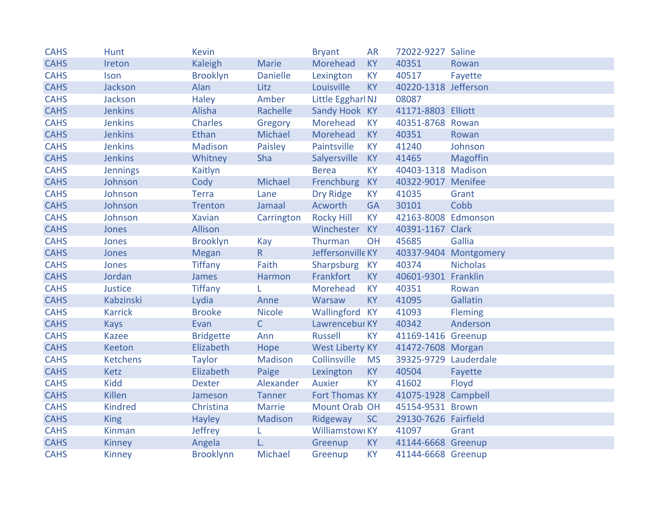| <b>CAHS</b> | <b>Hunt</b>     | <b>Kevin</b>     |                 | <b>Bryant</b>          | <b>AR</b> | 72022-9227 Saline     |                       |
|-------------|-----------------|------------------|-----------------|------------------------|-----------|-----------------------|-----------------------|
| <b>CAHS</b> | Ireton          | Kaleigh          | <b>Marie</b>    | Morehead               | <b>KY</b> | 40351                 | Rowan                 |
| <b>CAHS</b> | Ison            | <b>Brooklyn</b>  | <b>Danielle</b> | Lexington              | <b>KY</b> | 40517                 | Fayette               |
| <b>CAHS</b> | Jackson         | Alan             | Litz            | Louisville             | <b>KY</b> | 40220-1318 Jefferson  |                       |
| <b>CAHS</b> | Jackson         | <b>Haley</b>     | Amber           | Little Eggharl NJ      |           | 08087                 |                       |
| <b>CAHS</b> | <b>Jenkins</b>  | Alisha           | Rachelle        | Sandy Hook KY          |           | 41171-8803 Elliott    |                       |
| <b>CAHS</b> | <b>Jenkins</b>  | Charles          | Gregory         | Morehead               | <b>KY</b> | 40351-8768 Rowan      |                       |
| <b>CAHS</b> | <b>Jenkins</b>  | Ethan            | Michael         | Morehead               | <b>KY</b> | 40351                 | Rowan                 |
| <b>CAHS</b> | <b>Jenkins</b>  | Madison          | Paisley         | Paintsville            | <b>KY</b> | 41240                 | Johnson               |
| <b>CAHS</b> | <b>Jenkins</b>  | Whitney          | Sha             | Salyersville           | <b>KY</b> | 41465                 | <b>Magoffin</b>       |
| <b>CAHS</b> | Jennings        | Kaitlyn          |                 | <b>Berea</b>           | <b>KY</b> | 40403-1318 Madison    |                       |
| <b>CAHS</b> | Johnson         | Cody             | Michael         | Frenchburg             | <b>KY</b> | 40322-9017 Menifee    |                       |
| <b>CAHS</b> | Johnson         | <b>Terra</b>     | Lane            | Dry Ridge              | <b>KY</b> | 41035                 | Grant                 |
| <b>CAHS</b> | Johnson         | Trenton          | Jamaal          | Acworth                | <b>GA</b> | 30101                 | Cobb                  |
| <b>CAHS</b> | Johnson         | <b>Xavian</b>    | Carrington      | <b>Rocky Hill</b>      | <b>KY</b> | 42163-8008 Edmonson   |                       |
| <b>CAHS</b> | Jones           | Allison          |                 | Winchester KY          |           | 40391-1167 Clark      |                       |
| <b>CAHS</b> | Jones           | <b>Brooklyn</b>  | Kay             | Thurman                | OH        | 45685                 | Gallia                |
| <b>CAHS</b> | Jones           | <b>Megan</b>     | $R_{\parallel}$ | Jeffersonville KY      |           |                       | 40337-9404 Montgomery |
| <b>CAHS</b> | Jones           | <b>Tiffany</b>   | Faith           | Sharpsburg KY          |           | 40374                 | <b>Nicholas</b>       |
| <b>CAHS</b> | Jordan          | James            | Harmon          | Frankfort              | <b>KY</b> | 40601-9301 Franklin   |                       |
| <b>CAHS</b> | Justice         | <b>Tiffany</b>   | L               | Morehead               | <b>KY</b> | 40351                 | Rowan                 |
| <b>CAHS</b> | Kabzinski       | Lydia            | Anne            | Warsaw                 | <b>KY</b> | 41095                 | Gallatin              |
| <b>CAHS</b> | <b>Karrick</b>  | <b>Brooke</b>    | <b>Nicole</b>   | Wallingford KY         |           | 41093                 | Fleming               |
| <b>CAHS</b> | <b>Kays</b>     | Evan             | $\mathsf{C}$    | Lawrencebur KY         |           | 40342                 | Anderson              |
| <b>CAHS</b> | <b>Kazee</b>    | <b>Bridgette</b> | Ann             | <b>Russell</b>         | <b>KY</b> | 41169-1416 Greenup    |                       |
| <b>CAHS</b> | Keeton          | Elizabeth        | Hope            | <b>West Liberty KY</b> |           | 41472-7608 Morgan     |                       |
| <b>CAHS</b> | <b>Ketchens</b> | <b>Taylor</b>    | Madison         | Collinsville           | <b>MS</b> | 39325-9729 Lauderdale |                       |
| <b>CAHS</b> | Ketz            | Elizabeth        | Paige           | Lexington              | <b>KY</b> | 40504                 | Fayette               |
| <b>CAHS</b> | <b>Kidd</b>     | <b>Dexter</b>    | Alexander       | <b>Auxier</b>          | <b>KY</b> | 41602                 | Floyd                 |
| <b>CAHS</b> | <b>Killen</b>   | Jameson          | Tanner          | Fort Thomas KY         |           | 41075-1928 Campbell   |                       |
| <b>CAHS</b> | <b>Kindred</b>  | Christina        | Marrie          | Mount Orab OH          |           | 45154-9531 Brown      |                       |
| <b>CAHS</b> | <b>King</b>     | Hayley           | Madison         | Ridgeway               | <b>SC</b> | 29130-7626 Fairfield  |                       |
| <b>CAHS</b> | Kinman          | Jeffrey          |                 | Williamstowi KY        |           | 41097                 | Grant                 |
| <b>CAHS</b> | <b>Kinney</b>   | Angela           | L.              | Greenup                | <b>KY</b> | 41144-6668 Greenup    |                       |
| <b>CAHS</b> | <b>Kinney</b>   | <b>Brooklynn</b> | Michael         | Greenup                | <b>KY</b> | 41144-6668 Greenup    |                       |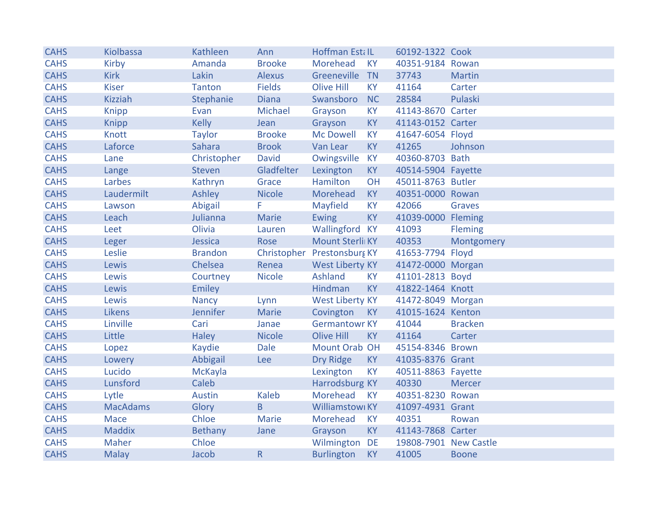| <b>CAHS</b> | Kiolbassa       | Kathleen        | Ann           | Hoffman EstalL              |           | 60192-1322 Cook       |                |
|-------------|-----------------|-----------------|---------------|-----------------------------|-----------|-----------------------|----------------|
| <b>CAHS</b> | Kirby           | Amanda          | <b>Brooke</b> | Morehead                    | <b>KY</b> | 40351-9184 Rowan      |                |
| <b>CAHS</b> | <b>Kirk</b>     | Lakin           | Alexus        | Greeneville                 | <b>TN</b> | 37743                 | <b>Martin</b>  |
| <b>CAHS</b> | <b>Kiser</b>    | <b>Tanton</b>   | <b>Fields</b> | <b>Olive Hill</b>           | <b>KY</b> | 41164                 | Carter         |
| <b>CAHS</b> | <b>Kizziah</b>  | Stephanie       | <b>Diana</b>  | Swansboro                   | <b>NC</b> | 28584                 | Pulaski        |
| <b>CAHS</b> | <b>Knipp</b>    | Evan            | Michael       | Grayson                     | <b>KY</b> | 41143-8670 Carter     |                |
| <b>CAHS</b> | <b>Knipp</b>    | <b>Kelly</b>    | Jean          | Grayson                     | <b>KY</b> | 41143-0152 Carter     |                |
| <b>CAHS</b> | Knott           | <b>Taylor</b>   | <b>Brooke</b> | <b>Mc Dowell</b>            | <b>KY</b> | 41647-6054 Floyd      |                |
| <b>CAHS</b> | Laforce         | Sahara          | <b>Brook</b>  | Van Lear                    | <b>KY</b> | 41265                 | Johnson        |
| <b>CAHS</b> | Lane            | Christopher     | <b>David</b>  | Owingsville                 | <b>KY</b> | 40360-8703 Bath       |                |
| <b>CAHS</b> | Lange           | Steven          | Gladfelter    | Lexington                   | <b>KY</b> | 40514-5904 Fayette    |                |
| <b>CAHS</b> | Larbes          | Kathryn         | Grace         | Hamilton                    | OH        | 45011-8763 Butler     |                |
| <b>CAHS</b> | Laudermilt      | Ashley          | <b>Nicole</b> | Morehead                    | KY        | 40351-0000 Rowan      |                |
| <b>CAHS</b> | Lawson          | Abigail         | F             | Mayfield                    | <b>KY</b> | 42066                 | Graves         |
| <b>CAHS</b> | Leach           | Julianna        | <b>Marie</b>  | <b>Ewing</b>                | <b>KY</b> | 41039-0000 Fleming    |                |
| <b>CAHS</b> | Leet            | Olivia          | Lauren        | Wallingford KY              |           | 41093                 | <b>Fleming</b> |
| <b>CAHS</b> | Leger           | Jessica         | Rose          | Mount Sterli KY             |           | 40353                 | Montgomery     |
| <b>CAHS</b> | Leslie          | <b>Brandon</b>  |               | Christopher Prestonsburg KY |           | 41653-7794 Floyd      |                |
| <b>CAHS</b> | Lewis           | Chelsea         | Renea         | <b>West Liberty KY</b>      |           | 41472-0000 Morgan     |                |
| <b>CAHS</b> | Lewis           | Courtney        | <b>Nicole</b> | Ashland                     | <b>KY</b> | 41101-2813 Boyd       |                |
| <b>CAHS</b> | Lewis           | Emiley          |               | Hindman                     | <b>KY</b> | 41822-1464 Knott      |                |
| <b>CAHS</b> | Lewis           | <b>Nancy</b>    | Lynn          | <b>West Liberty KY</b>      |           | 41472-8049 Morgan     |                |
| <b>CAHS</b> | <b>Likens</b>   | <b>Jennifer</b> | Marie         | Covington                   | <b>KY</b> | 41015-1624 Kenton     |                |
| <b>CAHS</b> | Linville        | Cari            | Janae         | <b>Germantowr KY</b>        |           | 41044                 | <b>Bracken</b> |
| <b>CAHS</b> | Little          | <b>Haley</b>    | <b>Nicole</b> | <b>Olive Hill</b>           | <b>KY</b> | 41164                 | Carter         |
| <b>CAHS</b> | Lopez           | Kaydie          | <b>Dale</b>   | Mount Orab OH               |           | 45154-8346 Brown      |                |
| <b>CAHS</b> | Lowery          | Abbigail        | Lee           | <b>Dry Ridge</b>            | KY        | 41035-8376 Grant      |                |
| <b>CAHS</b> | Lucido          | McKayla         |               | Lexington                   | <b>KY</b> | 40511-8863 Fayette    |                |
| <b>CAHS</b> | Lunsford        | Caleb           |               | Harrodsburg KY              |           | 40330                 | <b>Mercer</b>  |
| <b>CAHS</b> | Lytle           | <b>Austin</b>   | <b>Kaleb</b>  | Morehead                    | <b>KY</b> | 40351-8230 Rowan      |                |
| <b>CAHS</b> | <b>MacAdams</b> | Glory           | B             | Williamstowi KY             |           | 41097-4931 Grant      |                |
| <b>CAHS</b> | Mace            | Chloe           | Marie         | Morehead                    | <b>KY</b> | 40351                 | Rowan          |
| <b>CAHS</b> | <b>Maddix</b>   | Bethany         | Jane          | Grayson                     | <b>KY</b> | 41143-7868 Carter     |                |
| <b>CAHS</b> | Maher           | Chloe           |               | Wilmington DE               |           | 19808-7901 New Castle |                |
| <b>CAHS</b> | <b>Malay</b>    | Jacob           | $\mathsf R$   | <b>Burlington</b>           | <b>KY</b> | 41005                 | <b>Boone</b>   |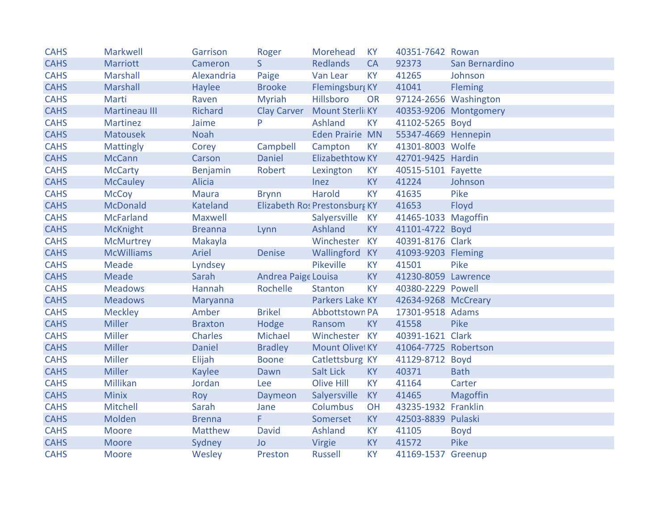| <b>CAHS</b> | <b>Markwell</b>      | Garrison        | Roger                      | Morehead                      | <b>KY</b> | 40351-7642 Rowan      |                       |
|-------------|----------------------|-----------------|----------------------------|-------------------------------|-----------|-----------------------|-----------------------|
| <b>CAHS</b> | Marriott             | Cameron         | S                          | <b>Redlands</b>               | <b>CA</b> | 92373                 | San Bernardino        |
| <b>CAHS</b> | <b>Marshall</b>      | Alexandria      | Paige                      | Van Lear                      | <b>KY</b> | 41265                 | Johnson               |
| <b>CAHS</b> | <b>Marshall</b>      | Haylee          | <b>Brooke</b>              | Flemingsburg KY               |           | 41041                 | <b>Fleming</b>        |
| <b>CAHS</b> | Marti                | Raven           | <b>Myriah</b>              | Hillsboro                     | <b>OR</b> | 97124-2656 Washington |                       |
| <b>CAHS</b> | <b>Martineau III</b> | <b>Richard</b>  |                            | Clay Carver Mount Sterli KY   |           |                       | 40353-9206 Montgomery |
| <b>CAHS</b> | <b>Martinez</b>      | Jaime           | P                          | Ashland                       | <b>KY</b> | 41102-5265 Boyd       |                       |
| <b>CAHS</b> | <b>Matousek</b>      | <b>Noah</b>     |                            | <b>Eden Prairie MN</b>        |           | 55347-4669 Hennepin   |                       |
| <b>CAHS</b> | <b>Mattingly</b>     | Corey           | Campbell                   | Campton                       | <b>KY</b> | 41301-8003 Wolfe      |                       |
| <b>CAHS</b> | <b>McCann</b>        | Carson          | <b>Daniel</b>              | <b>Elizabethtow KY</b>        |           | 42701-9425 Hardin     |                       |
| <b>CAHS</b> | <b>McCarty</b>       | Benjamin        | Robert                     | Lexington                     | <b>KY</b> | 40515-5101 Fayette    |                       |
| <b>CAHS</b> | <b>McCauley</b>      | <b>Alicia</b>   |                            | <b>Inez</b>                   | KY        | 41224                 | Johnson               |
| <b>CAHS</b> | <b>McCoy</b>         | <b>Maura</b>    | <b>Brynn</b>               | <b>Harold</b>                 | <b>KY</b> | 41635                 | Pike                  |
| <b>CAHS</b> | <b>McDonald</b>      | <b>Kateland</b> |                            | Elizabeth Ro: Prestonsburg KY |           | 41653                 | Floyd                 |
| <b>CAHS</b> | <b>McFarland</b>     | Maxwell         |                            | Salyersville                  | <b>KY</b> | 41465-1033 Magoffin   |                       |
| <b>CAHS</b> | <b>McKnight</b>      | <b>Breanna</b>  | Lynn                       | Ashland                       | KY        | 41101-4722 Boyd       |                       |
| <b>CAHS</b> | McMurtrey            | Makayla         |                            | Winchester KY                 |           | 40391-8176 Clark      |                       |
| <b>CAHS</b> | <b>McWilliams</b>    | Ariel           | <b>Denise</b>              | Wallingford KY                |           | 41093-9203 Fleming    |                       |
| <b>CAHS</b> | <b>Meade</b>         | Lyndsey         |                            | Pikeville                     | <b>KY</b> | 41501                 | Pike                  |
| <b>CAHS</b> | <b>Meade</b>         | Sarah           | <b>Andrea Paige Louisa</b> |                               | <b>KY</b> | 41230-8059 Lawrence   |                       |
| <b>CAHS</b> | <b>Meadows</b>       | Hannah          | Rochelle                   | <b>Stanton</b>                | <b>KY</b> | 40380-2229 Powell     |                       |
| <b>CAHS</b> | <b>Meadows</b>       | Maryanna        |                            | Parkers Lake KY               |           | 42634-9268 McCreary   |                       |
| <b>CAHS</b> | <b>Meckley</b>       | Amber           | <b>Brikel</b>              | Abbottstown PA                |           | 17301-9518 Adams      |                       |
| <b>CAHS</b> | <b>Miller</b>        | <b>Braxton</b>  | Hodge                      | Ransom                        | <b>KY</b> | 41558                 | Pike                  |
| <b>CAHS</b> | <b>Miller</b>        | Charles         | Michael                    | Winchester KY                 |           | 40391-1621 Clark      |                       |
| <b>CAHS</b> | <b>Miller</b>        | <b>Daniel</b>   | <b>Bradley</b>             | Mount Olivel KY               |           | 41064-7725 Robertson  |                       |
| <b>CAHS</b> | <b>Miller</b>        | Elijah          | <b>Boone</b>               | Catlettsburg KY               |           | 41129-8712 Boyd       |                       |
| <b>CAHS</b> | <b>Miller</b>        | <b>Kaylee</b>   | Dawn                       | Salt Lick                     | <b>KY</b> | 40371                 | <b>Bath</b>           |
| <b>CAHS</b> | Millikan             | Jordan          | Lee                        | <b>Olive Hill</b>             | KY        | 41164                 | Carter                |
| <b>CAHS</b> | <b>Minix</b>         | Roy             | Daymeon                    | Salyersville                  | <b>KY</b> | 41465                 | <b>Magoffin</b>       |
| <b>CAHS</b> | Mitchell             | Sarah           | Jane                       | Columbus                      | OH        | 43235-1932 Franklin   |                       |
| <b>CAHS</b> | Molden               | <b>Brenna</b>   | F.                         | Somerset                      | <b>KY</b> | 42503-8839 Pulaski    |                       |
| <b>CAHS</b> | Moore                | Matthew         | <b>David</b>               | Ashland                       | <b>KY</b> | 41105                 | <b>Boyd</b>           |
| <b>CAHS</b> | Moore                | Sydney          | Jo                         | Virgie                        | KY        | 41572                 | Pike                  |
| <b>CAHS</b> | Moore                | Wesley          | Preston                    | Russell                       | <b>KY</b> | 41169-1537 Greenup    |                       |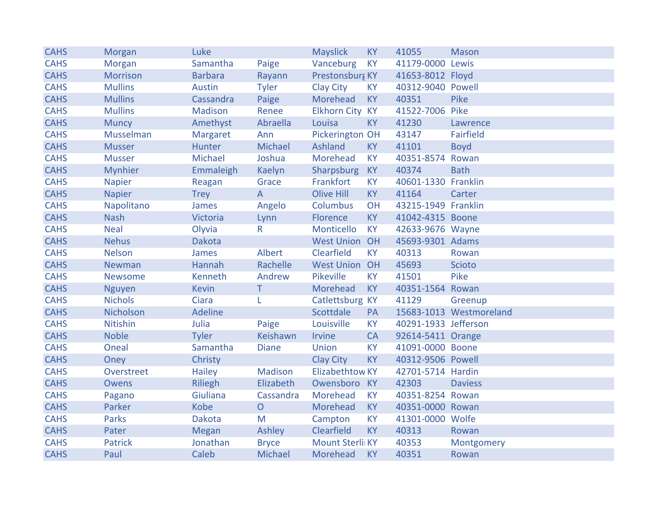| <b>CAHS</b> | Morgan          | Luke            |                | <b>Mayslick</b>        | <b>KY</b> | 41055                | <b>Mason</b>            |
|-------------|-----------------|-----------------|----------------|------------------------|-----------|----------------------|-------------------------|
| <b>CAHS</b> | Morgan          | Samantha        | Paige          | Vanceburg              | <b>KY</b> | 41179-0000 Lewis     |                         |
| <b>CAHS</b> | <b>Morrison</b> | <b>Barbara</b>  | Rayann         | Prestonsburg KY        |           | 41653-8012 Floyd     |                         |
| <b>CAHS</b> | <b>Mullins</b>  | <b>Austin</b>   | <b>Tyler</b>   | Clay City              | <b>KY</b> | 40312-9040 Powell    |                         |
| <b>CAHS</b> | <b>Mullins</b>  | Cassandra       | Paige          | Morehead               | <b>KY</b> | 40351                | Pike                    |
| <b>CAHS</b> | <b>Mullins</b>  | <b>Madison</b>  | Renee          | Elkhorn City KY        |           | 41522-7006 Pike      |                         |
| <b>CAHS</b> | <b>Muncy</b>    | Amethyst        | Abraella       | Louisa                 | <b>KY</b> | 41230                | Lawrence                |
| <b>CAHS</b> | Musselman       | <b>Margaret</b> | Ann            | Pickerington OH        |           | 43147                | Fairfield               |
| <b>CAHS</b> | <b>Musser</b>   | Hunter          | Michael        | Ashland                | <b>KY</b> | 41101                | <b>Boyd</b>             |
| <b>CAHS</b> | <b>Musser</b>   | Michael         | Joshua         | Morehead               | <b>KY</b> | 40351-8574 Rowan     |                         |
| <b>CAHS</b> | <b>Mynhier</b>  | Emmaleigh       | Kaelyn         | Sharpsburg             | <b>KY</b> | 40374                | <b>Bath</b>             |
| <b>CAHS</b> | <b>Napier</b>   | Reagan          | Grace          | Frankfort              | <b>KY</b> | 40601-1330 Franklin  |                         |
| <b>CAHS</b> | <b>Napier</b>   | <b>Trey</b>     | $\overline{A}$ | Olive Hill             | <b>KY</b> | 41164                | Carter                  |
| <b>CAHS</b> | Napolitano      | James           | Angelo         | Columbus               | OH        | 43215-1949 Franklin  |                         |
| <b>CAHS</b> | <b>Nash</b>     | Victoria        | Lynn           | Florence               | <b>KY</b> | 41042-4315 Boone     |                         |
| <b>CAHS</b> | <b>Neal</b>     | Olyvia          | R              | Monticello             | <b>KY</b> | 42633-9676 Wayne     |                         |
| <b>CAHS</b> | <b>Nehus</b>    | <b>Dakota</b>   |                | <b>West Union OH</b>   |           | 45693-9301 Adams     |                         |
| <b>CAHS</b> | <b>Nelson</b>   | James           | Albert         | Clearfield             | <b>KY</b> | 40313                | Rowan                   |
| <b>CAHS</b> | Newman          | Hannah          | Rachelle       | <b>West Union OH</b>   |           | 45693                | Scioto                  |
| <b>CAHS</b> | <b>Newsome</b>  | Kenneth         | Andrew         | Pikeville              | <b>KY</b> | 41501                | Pike                    |
| <b>CAHS</b> | <b>Nguyen</b>   | <b>Kevin</b>    | T              | Morehead               | <b>KY</b> | 40351-1564 Rowan     |                         |
| <b>CAHS</b> | <b>Nichols</b>  | Ciara           | L              | Catlettsburg KY        |           | 41129                | Greenup                 |
| <b>CAHS</b> | Nicholson       | <b>Adeline</b>  |                | Scottdale              | PA        |                      | 15683-1013 Westmoreland |
| <b>CAHS</b> | Nitishin        | Julia           | Paige          | Louisville             | <b>KY</b> | 40291-1933 Jefferson |                         |
| <b>CAHS</b> | <b>Noble</b>    | <b>Tyler</b>    | Keishawn       | <b>Irvine</b>          | CA        | 92614-5411 Orange    |                         |
| <b>CAHS</b> | Oneal           | Samantha        | <b>Diane</b>   | <b>Union</b>           | <b>KY</b> | 41091-0000 Boone     |                         |
| <b>CAHS</b> | Oney            | Christy         |                | <b>Clay City</b>       | <b>KY</b> | 40312-9506 Powell    |                         |
| <b>CAHS</b> | Overstreet      | <b>Hailey</b>   | Madison        | <b>Elizabethtow KY</b> |           | 42701-5714 Hardin    |                         |
| <b>CAHS</b> | <b>Owens</b>    | <b>Riliegh</b>  | Elizabeth      | Owensboro KY           |           | 42303                | <b>Daviess</b>          |
| <b>CAHS</b> | Pagano          | Giuliana        | Cassandra      | Morehead               | <b>KY</b> | 40351-8254 Rowan     |                         |
| <b>CAHS</b> | Parker          | <b>Kobe</b>     | $\overline{O}$ | Morehead               | <b>KY</b> | 40351-0000 Rowan     |                         |
| <b>CAHS</b> | <b>Parks</b>    | <b>Dakota</b>   | M              | Campton                | <b>KY</b> | 41301-0000 Wolfe     |                         |
| <b>CAHS</b> | Pater           | <b>Megan</b>    | Ashley         | Clearfield             | <b>KY</b> | 40313                | Rowan                   |
| <b>CAHS</b> | <b>Patrick</b>  | Jonathan        | <b>Bryce</b>   | Mount Sterli KY        |           | 40353                | Montgomery              |
| <b>CAHS</b> | Paul            | Caleb           | Michael        | Morehead               | <b>KY</b> | 40351                | Rowan                   |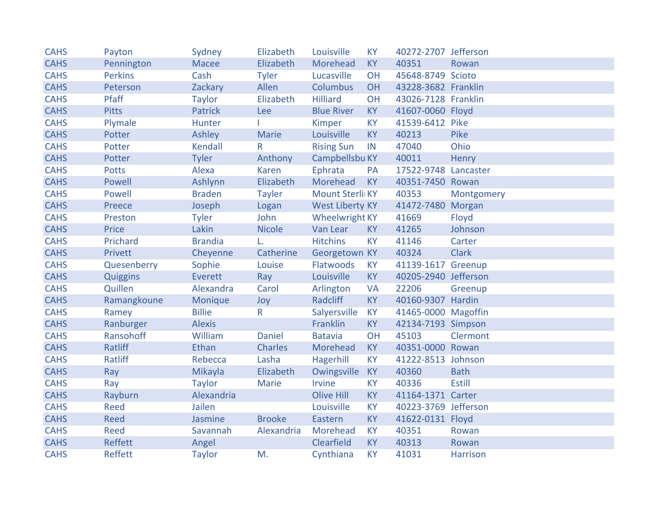| <b>CAHS</b> | Payton         | Sydney         | Elizabeth      | Louisville             | <b>KY</b> | 40272-2707 Jefferson |               |
|-------------|----------------|----------------|----------------|------------------------|-----------|----------------------|---------------|
| <b>CAHS</b> | Pennington     | Macee          | Elizabeth      | Morehead               | <b>KY</b> | 40351                | Rowan         |
| <b>CAHS</b> | <b>Perkins</b> | Cash           | <b>Tyler</b>   | Lucasville             | OH        | 45648-8749 Scioto    |               |
| <b>CAHS</b> | Peterson       | Zackary        | Allen          | Columbus               | OH        | 43228-3682 Franklin  |               |
| <b>CAHS</b> | Pfaff          | <b>Taylor</b>  | Elizabeth      | <b>Hilliard</b>        | OH        | 43026-7128 Franklin  |               |
| <b>CAHS</b> | <b>Pitts</b>   | Patrick        | <b>Lee</b>     | <b>Blue River</b>      | KY        | 41607-0060 Floyd     |               |
| <b>CAHS</b> | Plymale        | Hunter         |                | Kimper                 | <b>KY</b> | 41539-6412 Pike      |               |
| <b>CAHS</b> | Potter         | Ashley         | <b>Marie</b>   | Louisville             | <b>KY</b> | 40213                | Pike          |
| <b>CAHS</b> | Potter         | Kendall        | R              | <b>Rising Sun</b>      | IN        | 47040                | Ohio          |
| <b>CAHS</b> | Potter         | <b>Tyler</b>   | Anthony        | Campbellsbu KY         |           | 40011                | Henry         |
| <b>CAHS</b> | <b>Potts</b>   | Alexa          | <b>Karen</b>   | Ephrata                | PA        | 17522-9748 Lancaster |               |
| <b>CAHS</b> | Powell         | Ashlynn        | Elizabeth      | Morehead               | <b>KY</b> | 40351-7450 Rowan     |               |
| <b>CAHS</b> | Powell         | <b>Braden</b>  | <b>Tayler</b>  | Mount Sterli KY        |           | 40353                | Montgomery    |
| <b>CAHS</b> | Preece         | Joseph         | Logan          | <b>West Liberty KY</b> |           | 41472-7480 Morgan    |               |
| <b>CAHS</b> | Preston        | <b>Tyler</b>   | John           | <b>Wheelwright KY</b>  |           | 41669                | Floyd         |
| <b>CAHS</b> | Price          | Lakin          | <b>Nicole</b>  | Van Lear               | KY        | 41265                | Johnson       |
| <b>CAHS</b> | Prichard       | <b>Brandia</b> | L.             | <b>Hitchins</b>        | <b>KY</b> | 41146                | Carter        |
| <b>CAHS</b> | Privett        | Cheyenne       | Catherine      | Georgetown KY          |           | 40324                | <b>Clark</b>  |
| <b>CAHS</b> | Quesenberry    | Sophie         | Louise         | Flatwoods              | <b>KY</b> | 41139-1617 Greenup   |               |
| <b>CAHS</b> | Quiggins       | Everett        | Ray            | Louisville             | <b>KY</b> | 40205-2940 Jefferson |               |
| <b>CAHS</b> | Quillen        | Alexandra      | Carol          | Arlington              | <b>VA</b> | 22206                | Greenup       |
| <b>CAHS</b> | Ramangkoune    | Monique        | Joy            | Radcliff               | <b>KY</b> | 40160-9307 Hardin    |               |
| <b>CAHS</b> | Ramey          | <b>Billie</b>  | R              | Salyersville           | <b>KY</b> | 41465-0000 Magoffin  |               |
| <b>CAHS</b> | Ranburger      | <b>Alexis</b>  |                | Franklin               | <b>KY</b> | 42134-7193 Simpson   |               |
| <b>CAHS</b> | Ransohoff      | William        | <b>Daniel</b>  | <b>Batavia</b>         | OH        | 45103                | Clermont      |
| <b>CAHS</b> | Ratliff        | <b>Ethan</b>   | <b>Charles</b> | Morehead               | <b>KY</b> | 40351-0000 Rowan     |               |
| <b>CAHS</b> | Ratliff        | Rebecca        | Lasha          | Hagerhill              | <b>KY</b> | 41222-8513 Johnson   |               |
| <b>CAHS</b> | Ray            | Mikayla        | Elizabeth      | Owingsville            | KY        | 40360                | <b>Bath</b>   |
| <b>CAHS</b> | Ray            | <b>Taylor</b>  | Marie          | Irvine                 | <b>KY</b> | 40336                | <b>Estill</b> |
| <b>CAHS</b> | Rayburn        | Alexandria     |                | <b>Olive Hill</b>      | <b>KY</b> | 41164-1371 Carter    |               |
| <b>CAHS</b> | Reed           | Jailen         |                | Louisville             | <b>KY</b> | 40223-3769 Jefferson |               |
| <b>CAHS</b> | Reed           | Jasmine        | <b>Brooke</b>  | Eastern                | <b>KY</b> | 41622-0131 Floyd     |               |
| <b>CAHS</b> | Reed           | Savannah       | Alexandria     | Morehead               | <b>KY</b> | 40351                | Rowan         |
| <b>CAHS</b> | Reffett        | Angel          |                | Clearfield             | <b>KY</b> | 40313                | Rowan         |
| <b>CAHS</b> | <b>Reffett</b> | <b>Taylor</b>  | M.             | Cynthiana              | <b>KY</b> | 41031                | Harrison      |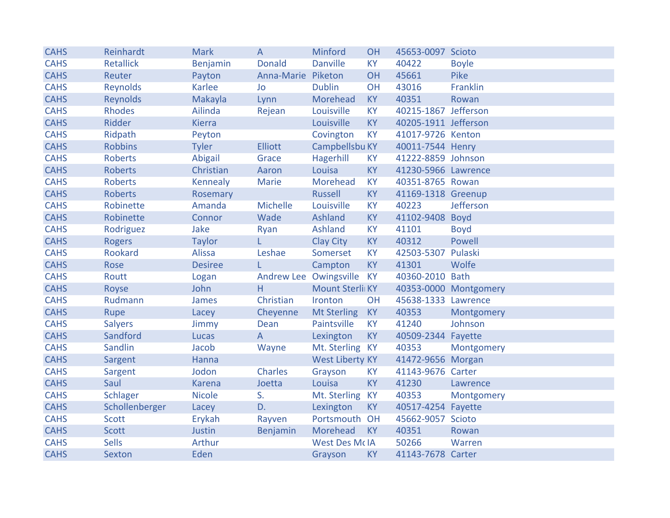| <b>CAHS</b> | Reinhardt        | <b>Mark</b>    | A                  | Minford                | <b>OH</b> | 45653-0097 Scioto    |                       |
|-------------|------------------|----------------|--------------------|------------------------|-----------|----------------------|-----------------------|
| <b>CAHS</b> | <b>Retallick</b> | Benjamin       | <b>Donald</b>      | <b>Danville</b>        | <b>KY</b> | 40422                | <b>Boyle</b>          |
| <b>CAHS</b> | Reuter           | Payton         | Anna-Marie Piketon |                        | OH        | 45661                | Pike                  |
| <b>CAHS</b> | Reynolds         | <b>Karlee</b>  | <b>Jo</b>          | <b>Dublin</b>          | OH        | 43016                | Franklin              |
| <b>CAHS</b> | Reynolds         | Makayla        | Lynn               | Morehead               | <b>KY</b> | 40351                | Rowan                 |
| <b>CAHS</b> | <b>Rhodes</b>    | Ailinda        | Rejean             | Louisville             | <b>KY</b> | 40215-1867 Jefferson |                       |
| <b>CAHS</b> | Ridder           | <b>Kierra</b>  |                    | Louisville             | <b>KY</b> | 40205-1911 Jefferson |                       |
| <b>CAHS</b> | Ridpath          | Peyton         |                    | Covington              | KY        | 41017-9726 Kenton    |                       |
| <b>CAHS</b> | <b>Robbins</b>   | <b>Tyler</b>   | <b>Elliott</b>     | Campbellsbu KY         |           | 40011-7544 Henry     |                       |
| <b>CAHS</b> | <b>Roberts</b>   | Abigail        | Grace              | Hagerhill              | <b>KY</b> | 41222-8859 Johnson   |                       |
| <b>CAHS</b> | <b>Roberts</b>   | Christian      | Aaron              | Louisa                 | <b>KY</b> | 41230-5966 Lawrence  |                       |
| <b>CAHS</b> | <b>Roberts</b>   | Kennealy       | Marie              | Morehead               | <b>KY</b> | 40351-8765 Rowan     |                       |
| <b>CAHS</b> | <b>Roberts</b>   | Rosemary       |                    | Russell                | <b>KY</b> | 41169-1318 Greenup   |                       |
| <b>CAHS</b> | Robinette        | Amanda         | <b>Michelle</b>    | Louisville             | <b>KY</b> | 40223                | Jefferson             |
| <b>CAHS</b> | Robinette        | Connor         | Wade               | Ashland                | <b>KY</b> | 41102-9408 Boyd      |                       |
| <b>CAHS</b> | Rodriguez        | Jake           | Ryan               | Ashland                | <b>KY</b> | 41101                | <b>Boyd</b>           |
| <b>CAHS</b> | <b>Rogers</b>    | <b>Taylor</b>  | L.                 | <b>Clay City</b>       | <b>KY</b> | 40312                | Powell                |
| <b>CAHS</b> | Rookard          | <b>Alissa</b>  | Leshae             | Somerset               | <b>KY</b> | 42503-5307           | Pulaski               |
| <b>CAHS</b> | Rose             | <b>Desiree</b> | L.                 | Campton                | <b>KY</b> | 41301                | Wolfe                 |
| <b>CAHS</b> | Routt            | Logan          |                    | Andrew Lee Owingsville | <b>KY</b> | 40360-2010 Bath      |                       |
| <b>CAHS</b> | Royse            | John           | Н                  | Mount Sterli KY        |           |                      | 40353-0000 Montgomery |
| <b>CAHS</b> | Rudmann          | James          | Christian          | Ironton                | OH        | 45638-1333 Lawrence  |                       |
| <b>CAHS</b> | Rupe             | Lacey          | Cheyenne           | Mt Sterling            | <b>KY</b> | 40353                | Montgomery            |
| <b>CAHS</b> | <b>Salyers</b>   | Jimmy          | Dean               | Paintsville            | <b>KY</b> | 41240                | Johnson               |
| <b>CAHS</b> | Sandford         | Lucas          | $\overline{A}$     | Lexington              | <b>KY</b> | 40509-2344 Fayette   |                       |
| <b>CAHS</b> | <b>Sandlin</b>   | Jacob          | Wayne              | Mt. Sterling KY        |           | 40353                | Montgomery            |
| <b>CAHS</b> | Sargent          | Hanna          |                    | <b>West Liberty KY</b> |           | 41472-9656 Morgan    |                       |
| <b>CAHS</b> | Sargent          | Jodon          | <b>Charles</b>     | Grayson                | <b>KY</b> | 41143-9676 Carter    |                       |
| <b>CAHS</b> | Saul             | <b>Karena</b>  | Joetta             | Louisa                 | <b>KY</b> | 41230                | Lawrence              |
| <b>CAHS</b> | Schlager         | <b>Nicole</b>  | S.                 | Mt. Sterling           | <b>KY</b> | 40353                | Montgomery            |
| <b>CAHS</b> | Schollenberger   | Lacey          | D.                 | Lexington              | <b>KY</b> | 40517-4254 Fayette   |                       |
| <b>CAHS</b> | <b>Scott</b>     | Erykah         | Rayven             | Portsmouth OH          |           | 45662-9057 Scioto    |                       |
| <b>CAHS</b> | <b>Scott</b>     | Justin         | Benjamin           | Morehead               | <b>KY</b> | 40351                | Rowan                 |
| <b>CAHS</b> | <b>Sells</b>     | Arthur         |                    | <b>West Des McIA</b>   |           | 50266                | Warren                |
| <b>CAHS</b> | Sexton           | Eden           |                    | Grayson                | <b>KY</b> | 41143-7678 Carter    |                       |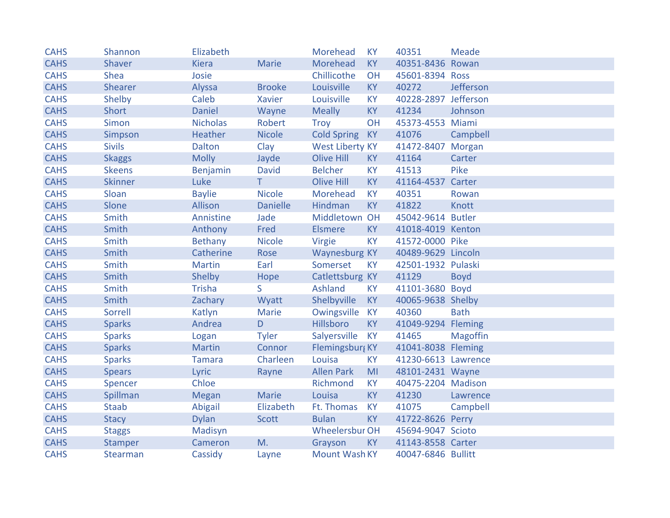| <b>CAHS</b> | Shannon        | Elizabeth       |                 | Morehead               | <b>KY</b> | 40351                | <b>Meade</b>    |
|-------------|----------------|-----------------|-----------------|------------------------|-----------|----------------------|-----------------|
| <b>CAHS</b> | Shaver         | <b>Kiera</b>    | <b>Marie</b>    | Morehead               | KY        | 40351-8436 Rowan     |                 |
| <b>CAHS</b> | <b>Shea</b>    | Josie           |                 | Chillicothe            | OH        | 45601-8394 Ross      |                 |
| <b>CAHS</b> | Shearer        | Alyssa          | <b>Brooke</b>   | Louisville             | <b>KY</b> | 40272                | Jefferson       |
| <b>CAHS</b> | Shelby         | Caleb           | Xavier          | Louisville             | <b>KY</b> | 40228-2897 Jefferson |                 |
| <b>CAHS</b> | Short          | Daniel          | Wayne           | <b>Meally</b>          | <b>KY</b> | 41234                | Johnson         |
| <b>CAHS</b> | Simon          | <b>Nicholas</b> | Robert          | Troy                   | OH        | 45373-4553 Miami     |                 |
| <b>CAHS</b> | Simpson        | Heather         | <b>Nicole</b>   | <b>Cold Spring</b>     | <b>KY</b> | 41076                | Campbell        |
| <b>CAHS</b> | <b>Sivils</b>  | <b>Dalton</b>   | Clay            | <b>West Liberty KY</b> |           | 41472-8407 Morgan    |                 |
| <b>CAHS</b> | <b>Skaggs</b>  | <b>Molly</b>    | Jayde           | <b>Olive Hill</b>      | <b>KY</b> | 41164                | Carter          |
| <b>CAHS</b> | <b>Skeens</b>  | Benjamin        | <b>David</b>    | <b>Belcher</b>         | <b>KY</b> | 41513                | Pike            |
| <b>CAHS</b> | <b>Skinner</b> | Luke            | T.              | <b>Olive Hill</b>      | <b>KY</b> | 41164-4537 Carter    |                 |
| <b>CAHS</b> | Sloan          | <b>Baylie</b>   | <b>Nicole</b>   | Morehead               | <b>KY</b> | 40351                | Rowan           |
| <b>CAHS</b> | Slone          | Allison         | <b>Danielle</b> | Hindman                | <b>KY</b> | 41822                | Knott           |
| <b>CAHS</b> | Smith          | Annistine       | Jade            | Middletown OH          |           | 45042-9614 Butler    |                 |
| <b>CAHS</b> | Smith          | Anthony         | Fred            | <b>Elsmere</b>         | <b>KY</b> | 41018-4019 Kenton    |                 |
| <b>CAHS</b> | Smith          | Bethany         | <b>Nicole</b>   | Virgie                 | <b>KY</b> | 41572-0000 Pike      |                 |
| <b>CAHS</b> | Smith          | Catherine       | Rose            | <b>Waynesburg KY</b>   |           | 40489-9629 Lincoln   |                 |
| <b>CAHS</b> | Smith          | <b>Martin</b>   | Earl            | Somerset               | <b>KY</b> | 42501-1932 Pulaski   |                 |
| <b>CAHS</b> | Smith          | Shelby          | Hope            | Catlettsburg KY        |           | 41129                | <b>Boyd</b>     |
| <b>CAHS</b> | Smith          | <b>Trisha</b>   | S.              | Ashland                | <b>KY</b> | 41101-3680 Boyd      |                 |
| <b>CAHS</b> | Smith          | Zachary         | Wyatt           | Shelbyville            | <b>KY</b> | 40065-9638 Shelby    |                 |
| <b>CAHS</b> | Sorrell        | Katlyn          | Marie           | Owingsville KY         |           | 40360                | <b>Bath</b>     |
| <b>CAHS</b> | <b>Sparks</b>  | Andrea          | D               | Hillsboro              | <b>KY</b> | 41049-9294 Fleming   |                 |
| <b>CAHS</b> | <b>Sparks</b>  | Logan           | <b>Tyler</b>    | Salyersville           | KY        | 41465                | <b>Magoffin</b> |
| <b>CAHS</b> | <b>Sparks</b>  | <b>Martin</b>   | Connor          | Flemingsburg KY        |           | 41041-8038 Fleming   |                 |
| <b>CAHS</b> | <b>Sparks</b>  | <b>Tamara</b>   | Charleen        | Louisa                 | <b>KY</b> | 41230-6613 Lawrence  |                 |
| <b>CAHS</b> | <b>Spears</b>  | Lyric           | Rayne           | <b>Allen Park</b>      | MI        | 48101-2431 Wayne     |                 |
| <b>CAHS</b> | Spencer        | Chloe           |                 | Richmond               | <b>KY</b> | 40475-2204 Madison   |                 |
| <b>CAHS</b> | Spillman       | <b>Megan</b>    | <b>Marie</b>    | Louisa                 | <b>KY</b> | 41230                | Lawrence        |
| <b>CAHS</b> | <b>Staab</b>   | Abigail         | Elizabeth       | Ft. Thomas             | <b>KY</b> | 41075                | Campbell        |
| <b>CAHS</b> | <b>Stacy</b>   | <b>Dylan</b>    | <b>Scott</b>    | <b>Bulan</b>           | <b>KY</b> | 41722-8626 Perry     |                 |
| <b>CAHS</b> | <b>Staggs</b>  | Madisyn         |                 | <b>Wheelersbur OH</b>  |           | 45694-9047 Scioto    |                 |
| <b>CAHS</b> | Stamper        | Cameron         | M.              | Grayson                | KY        | 41143-8558 Carter    |                 |
| <b>CAHS</b> | Stearman       | Cassidy         | Layne           | Mount Wash KY          |           | 40047-6846 Bullitt   |                 |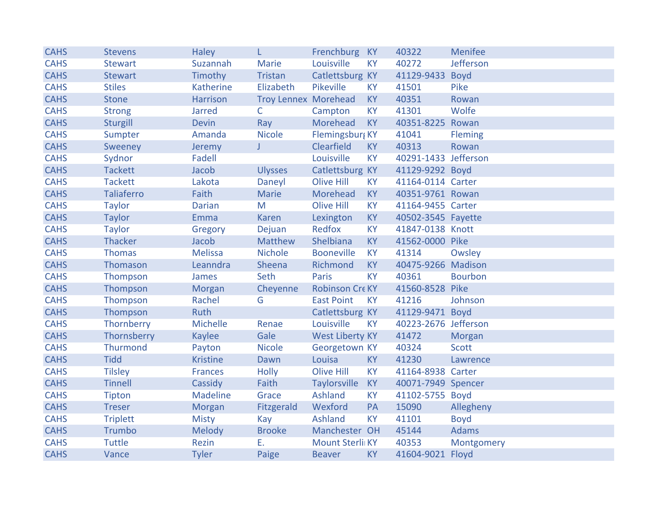| <b>CAHS</b> | <b>Stevens</b>    | <b>Haley</b>    | L.                          | Frenchburg KY          |           | 40322                | <b>Menifee</b> |
|-------------|-------------------|-----------------|-----------------------------|------------------------|-----------|----------------------|----------------|
| <b>CAHS</b> | <b>Stewart</b>    | Suzannah        | <b>Marie</b>                | Louisville             | <b>KY</b> | 40272                | Jefferson      |
| <b>CAHS</b> | <b>Stewart</b>    | Timothy         | Tristan                     | Catlettsburg KY        |           | 41129-9433 Boyd      |                |
| <b>CAHS</b> | <b>Stiles</b>     | Katherine       | Elizabeth                   | Pikeville              | <b>KY</b> | 41501                | Pike           |
| <b>CAHS</b> | <b>Stone</b>      | Harrison        | <b>Troy Lennex Morehead</b> |                        | <b>KY</b> | 40351                | Rowan          |
| <b>CAHS</b> | <b>Strong</b>     | <b>Jarred</b>   | $\mathsf{C}$                | Campton                | <b>KY</b> | 41301                | Wolfe          |
| <b>CAHS</b> | Sturgill          | <b>Devin</b>    | Ray                         | Morehead               | <b>KY</b> | 40351-8225 Rowan     |                |
| <b>CAHS</b> | Sumpter           | Amanda          | <b>Nicole</b>               | Flemingsburg KY        |           | 41041                | Fleming        |
| <b>CAHS</b> | Sweeney           | Jeremy          | J                           | Clearfield             | <b>KY</b> | 40313                | Rowan          |
| <b>CAHS</b> | Sydnor            | Fadell          |                             | Louisville             | <b>KY</b> | 40291-1433 Jefferson |                |
| <b>CAHS</b> | <b>Tackett</b>    | Jacob           | <b>Ulysses</b>              | Catlettsburg KY        |           | 41129-9292 Boyd      |                |
| <b>CAHS</b> | <b>Tackett</b>    | Lakota          | Daneyl                      | <b>Olive Hill</b>      | <b>KY</b> | 41164-0114 Carter    |                |
| <b>CAHS</b> | <b>Taliaferro</b> | Faith           | Marie                       | Morehead               | <b>KY</b> | 40351-9761 Rowan     |                |
| <b>CAHS</b> | <b>Taylor</b>     | <b>Darian</b>   | M                           | Olive Hill             | <b>KY</b> | 41164-9455 Carter    |                |
| <b>CAHS</b> | <b>Taylor</b>     | Emma            | <b>Karen</b>                | Lexington              | <b>KY</b> | 40502-3545 Fayette   |                |
| <b>CAHS</b> | <b>Taylor</b>     | Gregory         | Dejuan                      | Redfox                 | <b>KY</b> | 41847-0138 Knott     |                |
| <b>CAHS</b> | Thacker           | Jacob           | Matthew                     | Shelbiana              | <b>KY</b> | 41562-0000 Pike      |                |
| <b>CAHS</b> | <b>Thomas</b>     | <b>Melissa</b>  | <b>Nichole</b>              | <b>Booneville</b>      | <b>KY</b> | 41314                | Owsley         |
| <b>CAHS</b> | Thomason          | Leanndra        | Sheena                      | Richmond               | <b>KY</b> | 40475-9266 Madison   |                |
| <b>CAHS</b> | Thompson          | James           | Seth                        | Paris                  | <b>KY</b> | 40361                | <b>Bourbon</b> |
| <b>CAHS</b> | Thompson          | Morgan          | Cheyenne                    | Robinson Cre KY        |           | 41560-8528 Pike      |                |
| <b>CAHS</b> | Thompson          | Rachel          | G                           | <b>East Point</b>      | <b>KY</b> | 41216                | Johnson        |
| <b>CAHS</b> | Thompson          | Ruth            |                             | Catlettsburg KY        |           | 41129-9471 Boyd      |                |
| <b>CAHS</b> | Thornberry        | Michelle        | Renae                       | Louisville             | <b>KY</b> | 40223-2676 Jefferson |                |
| <b>CAHS</b> | Thornsberry       | <b>Kaylee</b>   | Gale                        | <b>West Liberty KY</b> |           | 41472                | Morgan         |
| <b>CAHS</b> | Thurmond          | Payton          | <b>Nicole</b>               | Georgetown KY          |           | 40324                | <b>Scott</b>   |
| <b>CAHS</b> | <b>Tidd</b>       | <b>Kristine</b> | Dawn                        | Louisa                 | <b>KY</b> | 41230                | Lawrence       |
| <b>CAHS</b> | <b>Tilsley</b>    | Frances         | <b>Holly</b>                | <b>Olive Hill</b>      | <b>KY</b> | 41164-8938 Carter    |                |
| <b>CAHS</b> | <b>Tinnell</b>    | Cassidy         | Faith                       | <b>Taylorsville</b>    | <b>KY</b> | 40071-7949 Spencer   |                |
| <b>CAHS</b> | Tipton            | <b>Madeline</b> | Grace                       | Ashland                | <b>KY</b> | 41102-5755 Boyd      |                |
| <b>CAHS</b> | <b>Treser</b>     | Morgan          | Fitzgerald                  | Wexford                | PA        | 15090                | Allegheny      |
| <b>CAHS</b> | <b>Triplett</b>   | <b>Misty</b>    | Kay                         | Ashland                | <b>KY</b> | 41101                | <b>Boyd</b>    |
| <b>CAHS</b> | Trumbo            | Melody          | <b>Brooke</b>               | Manchester OH          |           | 45144                | <b>Adams</b>   |
| <b>CAHS</b> | <b>Tuttle</b>     | Rezin           | Ε.                          | Mount Sterli KY        |           | 40353                | Montgomery     |
| <b>CAHS</b> | Vance             | <b>Tyler</b>    | Paige                       | <b>Beaver</b>          | <b>KY</b> | 41604-9021 Floyd     |                |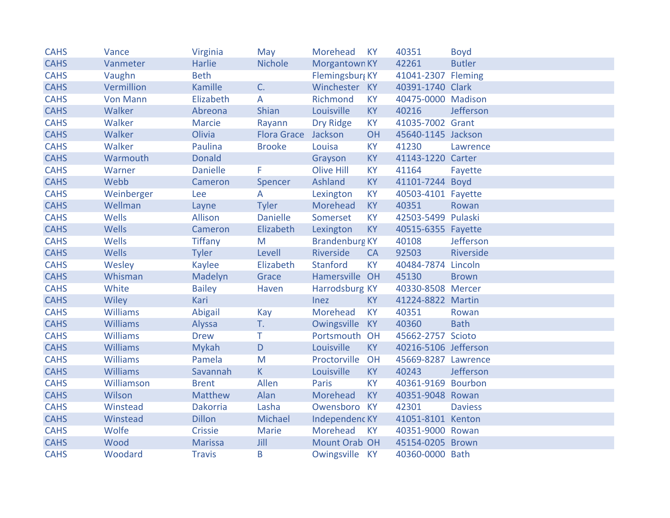| <b>CAHS</b> | Vance           | Virginia        | May                 | Morehead              | <b>KY</b> | 40351                | <b>Boyd</b>    |
|-------------|-----------------|-----------------|---------------------|-----------------------|-----------|----------------------|----------------|
| <b>CAHS</b> | Vanmeter        | Harlie          | <b>Nichole</b>      | Morgantown KY         |           | 42261                | <b>Butler</b>  |
| <b>CAHS</b> | Vaughn          | <b>Beth</b>     |                     | Flemingsburg KY       |           | 41041-2307 Fleming   |                |
| <b>CAHS</b> | Vermillion      | Kamille         | C.                  | Winchester KY         |           | 40391-1740 Clark     |                |
| <b>CAHS</b> | <b>Von Mann</b> | Elizabeth       | A                   | Richmond              | <b>KY</b> | 40475-0000 Madison   |                |
| <b>CAHS</b> | Walker          | Abreona         | Shian               | Louisville            | <b>KY</b> | 40216                | Jefferson      |
| <b>CAHS</b> | Walker          | <b>Marcie</b>   | Rayann              | <b>Dry Ridge</b>      | <b>KY</b> | 41035-7002 Grant     |                |
| <b>CAHS</b> | Walker          | Olivia          | Flora Grace Jackson |                       | OH        | 45640-1145 Jackson   |                |
| <b>CAHS</b> | Walker          | Paulina         | <b>Brooke</b>       | Louisa                | <b>KY</b> | 41230                | Lawrence       |
| <b>CAHS</b> | Warmouth        | <b>Donald</b>   |                     | Grayson               | <b>KY</b> | 41143-1220 Carter    |                |
| <b>CAHS</b> | Warner          | <b>Danielle</b> | F                   | <b>Olive Hill</b>     | <b>KY</b> | 41164                | Fayette        |
| <b>CAHS</b> | Webb            | Cameron         | Spencer             | Ashland               | <b>KY</b> | 41101-7244 Boyd      |                |
| <b>CAHS</b> | Weinberger      | Lee             | A                   | Lexington             | <b>KY</b> | 40503-4101 Fayette   |                |
| <b>CAHS</b> | Wellman         | Layne           | <b>Tyler</b>        | Morehead              | <b>KY</b> | 40351                | Rowan          |
| <b>CAHS</b> | Wells           | Allison         | <b>Danielle</b>     | Somerset              | <b>KY</b> | 42503-5499 Pulaski   |                |
| <b>CAHS</b> | Wells           | Cameron         | Elizabeth           | Lexington             | <b>KY</b> | 40515-6355 Fayette   |                |
| <b>CAHS</b> | Wells           | <b>Tiffany</b>  | M                   | <b>Brandenburg KY</b> |           | 40108                | Jefferson      |
| <b>CAHS</b> | Wells           | <b>Tyler</b>    | Levell              | Riverside             | <b>CA</b> | 92503                | Riverside      |
| <b>CAHS</b> | Wesley          | <b>Kaylee</b>   | Elizabeth           | Stanford              | <b>KY</b> | 40484-7874 Lincoln   |                |
| <b>CAHS</b> | Whisman         | Madelyn         | Grace               | Hamersville OH        |           | 45130                | <b>Brown</b>   |
| <b>CAHS</b> | White           | <b>Bailey</b>   | Haven               | Harrodsburg KY        |           | 40330-8508 Mercer    |                |
| <b>CAHS</b> | Wiley           | Kari            |                     | Inez                  | <b>KY</b> | 41224-8822 Martin    |                |
| <b>CAHS</b> | Williams        | Abigail         | Kay                 | Morehead              | <b>KY</b> | 40351                | Rowan          |
| <b>CAHS</b> | Williams        | Alyssa          | T.                  | Owingsville           | <b>KY</b> | 40360                | <b>Bath</b>    |
| <b>CAHS</b> | Williams        | <b>Drew</b>     | Τ                   | Portsmouth OH         |           | 45662-2757 Scioto    |                |
| <b>CAHS</b> | <b>Williams</b> | <b>Mykah</b>    | D                   | Louisville            | <b>KY</b> | 40216-5106 Jefferson |                |
| <b>CAHS</b> | Williams        | Pamela          | ${\sf M}$           | Proctorville          | OH        | 45669-8287 Lawrence  |                |
| <b>CAHS</b> | Williams        | Savannah        | K                   | Louisville            | <b>KY</b> | 40243                | Jefferson      |
| <b>CAHS</b> | Williamson      | <b>Brent</b>    | Allen               | Paris                 | <b>KY</b> | 40361-9169 Bourbon   |                |
| <b>CAHS</b> | Wilson          | Matthew         | Alan                | Morehead              | <b>KY</b> | 40351-9048 Rowan     |                |
| <b>CAHS</b> | Winstead        | Dakorria        | Lasha               | Owensboro KY          |           | 42301                | <b>Daviess</b> |
| <b>CAHS</b> | Winstead        | <b>Dillon</b>   | Michael             | Independenc KY        |           | 41051-8101 Kenton    |                |
| <b>CAHS</b> | Wolfe           | Crissie         | Marie               | Morehead              | <b>KY</b> | 40351-9000 Rowan     |                |
| <b>CAHS</b> | Wood            | <b>Marissa</b>  | Jill                | Mount Orab OH         |           | 45154-0205 Brown     |                |
| <b>CAHS</b> | Woodard         | <b>Travis</b>   | B                   | Owingsville KY        |           | 40360-0000 Bath      |                |